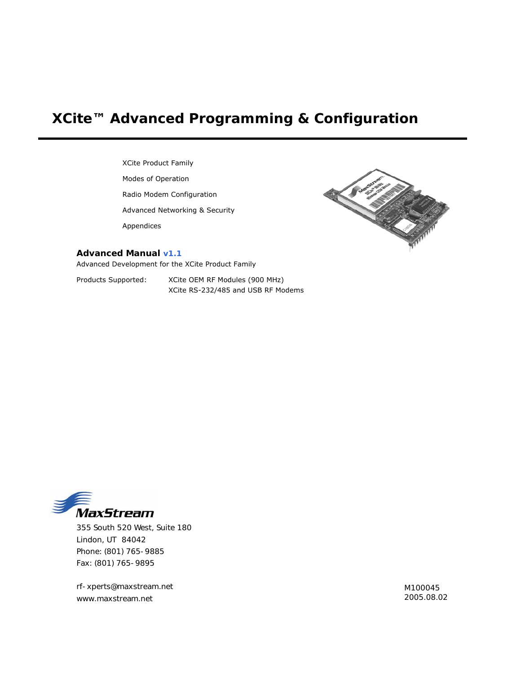# <span id="page-0-0"></span>**XCite™ Advanced Programming & Configuration**

XCite Product Family Modes of Operation Radio Modem Configuration Advanced Networking & Security Appendices



#### **Advanced Manual v1.1**

Advanced Development for the XCite Product Family

Products Supported: XCite OEM RF Modules (900 MHz) XCite RS-232/485 and USB RF Modems



355 South 520 West, Suite 180 Lindon, UT 84042 Phone: (801) 765-9885 Fax: (801) 765-9895

rf-xperts@maxstream.net M100045 www.maxstream.net 2005.08.02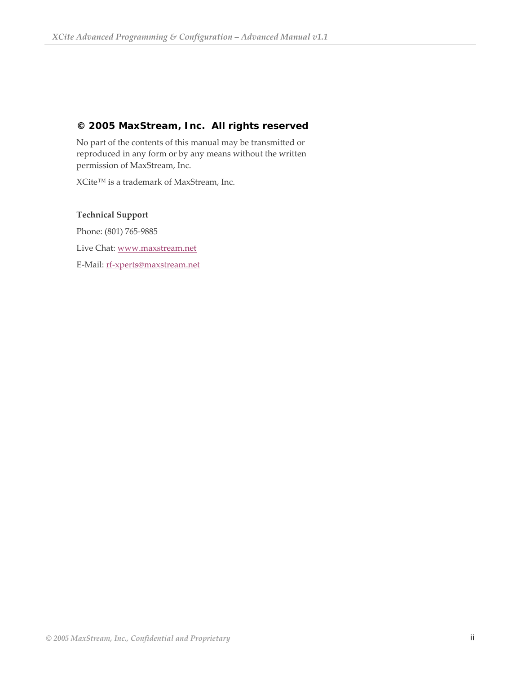## **© 2005 MaxStream, Inc. All rights reserved**

No part of the contents of this manual may be transmitted or reproduced in any form or by any means without the written permission of MaxStream, Inc.

XCite™ is a trademark of MaxStream, Inc.

## **Technical Support**

Phone: (801) 765‐9885 Live Chat: [www.maxstream.net](http://www.maxstream.net/) E‐Mail: rf‐[xperts@maxstream.net](mailto:rf-xperts@maxstream.net)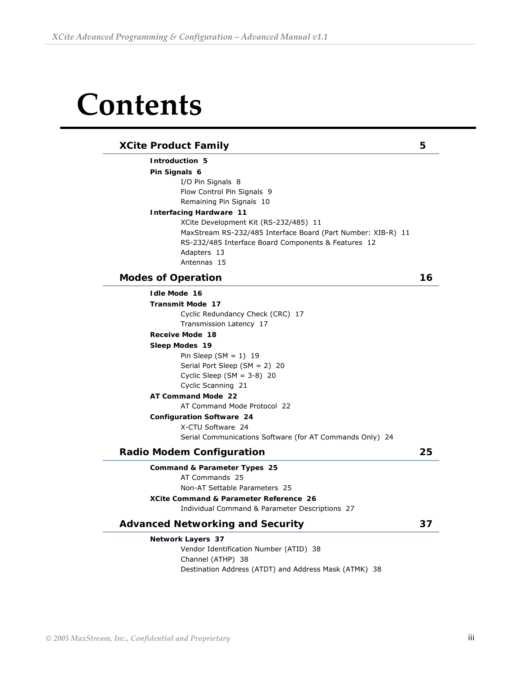# **Contents**

### **[XCite Product Family](#page-4-0) 5**

**[Introduction 5](#page-4-0)**

**[Pin Signals 6](#page-5-0)**

[I/O Pin Signals 8](#page-7-0) [Flow Control Pin Signals 9](#page-8-0) [Remaining Pin Signals 10](#page-9-0)

#### **[Interfacing Hardware 11](#page-10-0)**

XCite Development [Kit \(RS-232/485\) 11](#page-10-0) MaxStream [RS-232/485 Interface Board \(Part Number: XIB-R\) 11](#page-10-0) [RS-232/485 Interface Board Components & Features 12](#page-11-0) [Adapters 13](#page-12-0) [Antennas 15](#page-14-0)

### **[Modes of Operation 16](#page-15-0)**

| <b>Idle Mode 16</b>                                      |    |
|----------------------------------------------------------|----|
| <b>Transmit Mode 17</b>                                  |    |
| Cyclic Redundancy Check (CRC) 17                         |    |
| Transmission Latency 17                                  |    |
| Receive Mode 18                                          |    |
| Sleep Modes 19                                           |    |
| Pin Sleep $(SM = 1)$ 19                                  |    |
| Serial Port Sleep $(SM = 2)$ 20                          |    |
| Cyclic Sleep $(SM = 3-8)$ 20                             |    |
| Cyclic Scanning 21                                       |    |
| AT Command Mode 22                                       |    |
| AT Command Mode Protocol 22                              |    |
| <b>Configuration Software 24</b>                         |    |
| X-CTU Software 24                                        |    |
| Serial Communications Software (for AT Commands Only) 24 |    |
| <b>Radio Modem Configuration</b>                         | 25 |
| Command & Parameter Types 25                             |    |
| AT Commands 25                                           |    |
| Non-AT Settable Parameters 25                            |    |
| <b>XCite Command &amp; Parameter Reference 26</b>        |    |
| Individual Command & Parameter Descriptions 27           |    |
| <b>Advanced Networking and Security</b>                  | 37 |
| <b>Network Layers 37</b>                                 |    |
| Vendor Identification Number (ATID) 38                   |    |
| Channel (ATHP) 38                                        |    |
| Destination Address (ATDT) and Address Mask (ATMK) 38    |    |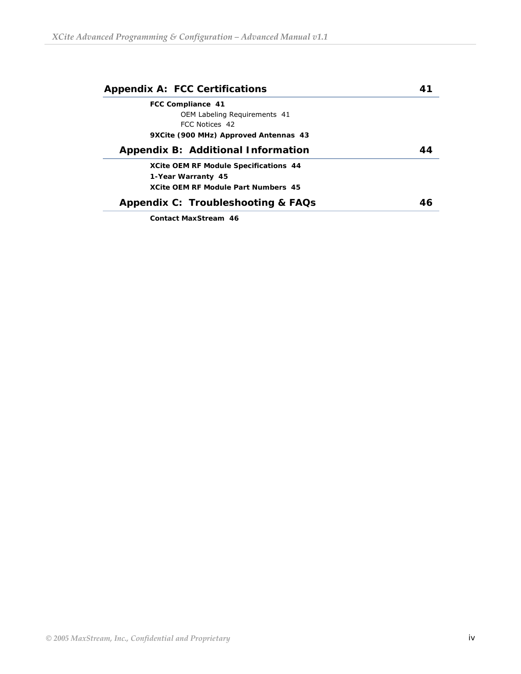| <b>Appendix A: FCC Certifications</b>        | 4 |
|----------------------------------------------|---|
| FCC Compliance 41                            |   |
| OEM Labeling Requirements 41                 |   |
| FCC Notices 42                               |   |
| 9XCite (900 MHz) Approved Antennas 43        |   |
| Appendix B: Additional Information           |   |
| <b>XCite OEM RF Module Specifications 44</b> |   |
| 1-Year Warranty 45                           |   |
| <b>XCite OEM RF Module Part Numbers 45</b>   |   |
| Appendix C: Troubleshooting & FAQs           |   |
| <b>Contact MaxStream 46</b>                  |   |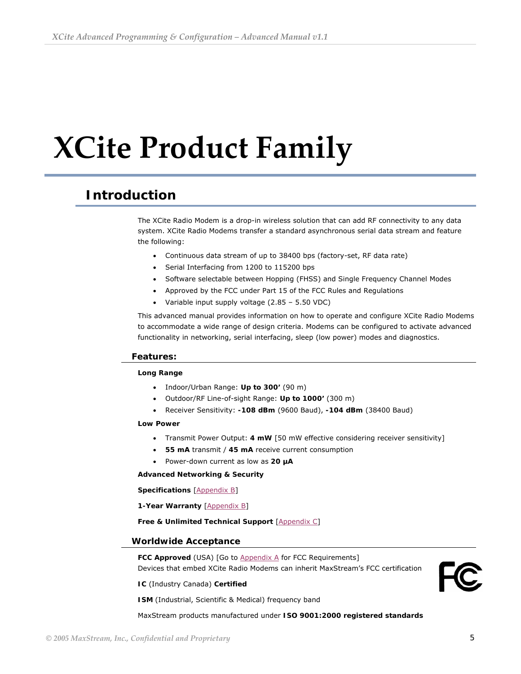# <span id="page-4-0"></span>**XCite Product Family**

# **Introduction**

The XCite Radio Modem is a drop-in wireless solution that can add RF connectivity to any data system. XCite Radio Modems transfer a standard asynchronous serial data stream and feature the following:

- Continuous data stream of up to 38400 bps (factory-set, RF data rate)
- Serial Interfacing from 1200 to 115200 bps
- Software selectable between Hopping (FHSS) and Single Frequency Channel Modes
- Approved by the FCC under Part 15 of the FCC Rules and Regulations
- Variable input supply voltage (2.85 5.50 VDC)

This advanced manual provides information on how to operate and configure XCite Radio Modems to accommodate a wide range of design criteria. Modems can be configured to activate advanced functionality in networking, serial interfacing, sleep (low power) modes and diagnostics.

#### **Features:**

#### **Long Range**

- Indoor/Urban Range: **Up to 300'** (90 m)
- Outdoor/RF Line-of-sight Range: **Up to 1000'** (300 m)
- Receiver Sensitivity: **-108 dBm** (9600 Baud), **-104 dBm** (38400 Baud)

#### **Low Power**

- Transmit Power Output: **4 mW** [50 mW effective considering receiver sensitivity]
- **55 mA** transmit / **45 mA** receive current consumption
- Power-down current as low as **20 µA**

#### **Advanced Networking & Security**

**Specifications** [[Appendix B](#page-43-0)]

**1-Year Warranty** [\[Appendix B\]](#page-43-0)

#### **Free & Unlimited Technical Support** [[Appendix C](#page-45-0)]

#### **Worldwide Acceptance**

FCC Approved (USA) [Go to [Appendix A](#page-40-0) for FCC Requirements] Devices that embed XCite Radio Modems can inherit MaxStream's FCC certification

**IC** (Industry Canada) **Certified**

**ISM** (Industrial, Scientific & Medical) frequency band

MaxStream products manufactured under **ISO 9001:2000 registered standards**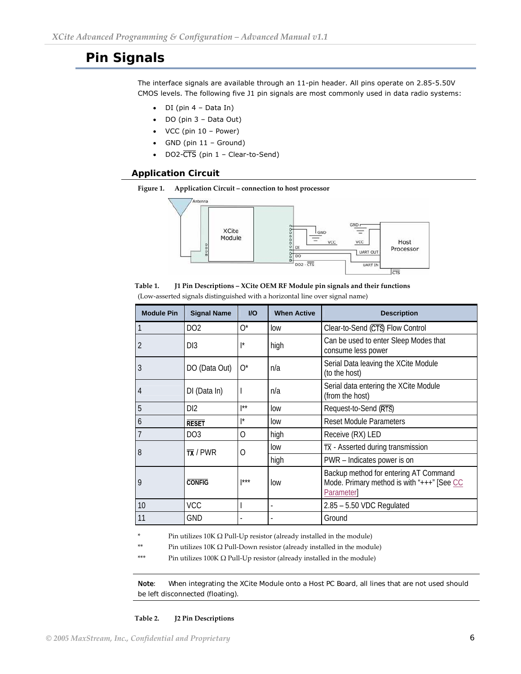# <span id="page-5-0"></span>**Pin Signals**

The interface signals are available through an 11-pin header. All pins operate on 2.85-5.50V CMOS levels. The following five J1 pin signals are most commonly used in data radio systems:

- DI (pin 4 Data In)
- DO (pin 3 Data Out)
- VCC (pin 10 Power)
- GND (pin 11 Ground)
- DO2- $\overline{\text{CTS}}$  (pin  $1$  Clear-to-Send)

#### **Application Circuit**

**Figure 1. Application Circuit – connection to host processor**



| Table 1. | J1 Pin Descriptions – XCite OEM RF Module pin signals and their functions    |
|----------|------------------------------------------------------------------------------|
|          | (Low-asserted signals distinguished with a horizontal line over signal name) |

| <b>Module Pin</b> | <b>Signal Name</b>    | $U$                      | <b>When Active</b> | <b>Description</b>                                                                                |
|-------------------|-----------------------|--------------------------|--------------------|---------------------------------------------------------------------------------------------------|
|                   | DO <sub>2</sub>       | $O^*$                    | low                | Clear-to-Send (CTS) Flow Control                                                                  |
| 2                 | DI3                   | $\mathsf{I}^{\star}$     | high               | Can be used to enter Sleep Modes that<br>consume less power                                       |
| 3                 | DO (Data Out)         | $O^*$                    | n/a                | Serial Data leaving the XCite Module<br>(to the host)                                             |
| 4                 | DI (Data In)          |                          | n/a                | Serial data entering the XCite Module<br>(from the host)                                          |
| 5                 | DI2                   | $1$ **                   | low                | Request-to-Send (RTS)                                                                             |
| 6                 | <b>RESET</b>          | $1*$                     | low                | <b>Reset Module Parameters</b>                                                                    |
| $\overline{7}$    | DO <sub>3</sub>       | O                        | high               | Receive (RX) LED                                                                                  |
| 8                 | $\overline{TX}$ / PWR | O                        | low                | $\overline{TX}$ - Asserted during transmission                                                    |
|                   |                       |                          | high               | PWR - Indicates power is on                                                                       |
| 9                 | <b>CONFIG</b>         | $1***$                   | low                | Backup method for entering AT Command<br>Mode. Primary method is with "+++" [See CC<br>Parameter] |
| 10                | <b>VCC</b>            |                          |                    | $2.85 - 5.50$ VDC Regulated                                                                       |
| 11                | <b>GND</b>            | $\overline{\phantom{a}}$ |                    | Ground                                                                                            |

 $*$  Pin utilizes 10K  $\Omega$  Pull-Up resistor (already installed in the module)

\*\* Pin utilizes 10K  $\Omega$  Pull-Down resistor (already installed in the module)

\*\*\* Pin utilizes 100K  $\Omega$  Pull-Up resistor (already installed in the module)

Note: When integrating the XCite Module onto a Host PC Board, all lines that are not used should be left disconnected (floating).

#### **Table 2. J2 Pin Descriptions**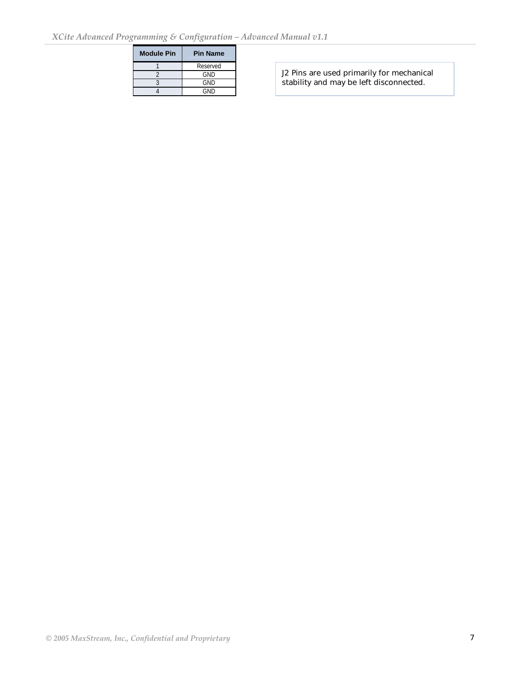| <b>Module Pin</b> | <b>Pin Name</b> |
|-------------------|-----------------|
|                   | Reserved        |
|                   | GND             |
|                   | GND             |
|                   | GND             |

J2 Pins are used primarily for mechanical stability and may be left disconnected.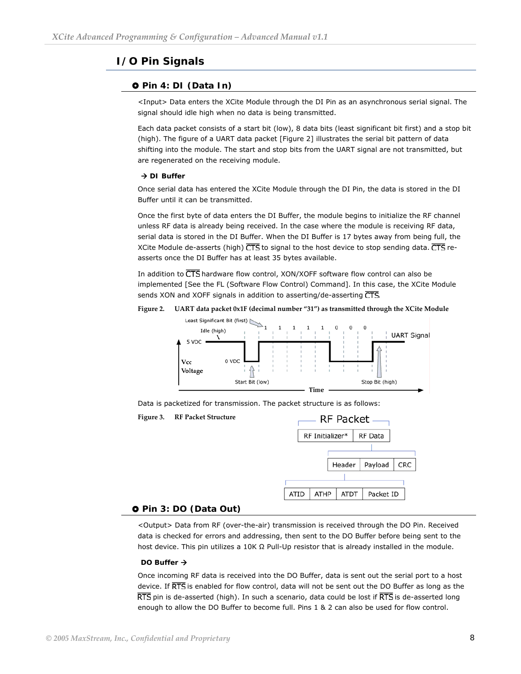## <span id="page-7-0"></span>**I/O Pin Signals**

#### } **Pin 4: DI (Data In)**

<Input> Data enters the XCite Module through the DI Pin as an asynchronous serial signal. The signal should idle high when no data is being transmitted.

Each data packet consists of a start bit (low), 8 data bits (least significant bit first) and a stop bit (high). The figure of a UART data packet [Figure 2] illustrates the serial bit pattern of data shifting into the module. The start and stop bits from the UART signal are not transmitted, but are regenerated on the receiving module.

#### **→ DI Buffer**

Once serial data has entered the XCite Module through the DI Pin, the data is stored in the DI Buffer until it can be transmitted.

Once the first byte of data enters the DI Buffer, the module begins to initialize the RF channel unless RF data is already being received. In the case where the module is receiving RF data, serial data is stored in the DI Buffer. When the DI Buffer is 17 bytes away from being full, the XCite Module de-asserts (high)  $\overline{\text{CTS}}$  to signal to the host device to stop sending data.  $\overline{\text{CTS}}$  reasserts once the DI Buffer has at least 35 bytes available.

In addition to  $\overline{\text{CTS}}$  hardware flow control, XON/XOFF software flow control can also be implemented [See the FL (Software Flow Control) Command]. In this case, the XCite Module sends XON and XOFF signals in addition to asserting/de-asserting CTS.

**Figure 2. UART data packet 0x1F (decimal number "31") as transmitted through the XCite Module**



Data is packetized for transmission. The packet structure is as follows:



#### } **Pin 3: DO (Data Out)**

<Output> Data from RF (over-the-air) transmission is received through the DO Pin. Received data is checked for errors and addressing, then sent to the DO Buffer before being sent to the host device. This pin utilizes a 10K Ω Pull-Up resistor that is already installed in the module.

#### DO Buffer  $\rightarrow$

Once incoming RF data is received into the DO Buffer, data is sent out the serial port to a host device. If RTS is enabled for flow control, data will not be sent out the DO Buffer as long as the  $\overline{\text{RTS}}$  pin is de-asserted (high). In such a scenario, data could be lost if  $\overline{\text{RTS}}$  is de-asserted long enough to allow the DO Buffer to become full. Pins 1 & 2 can also be used for flow control.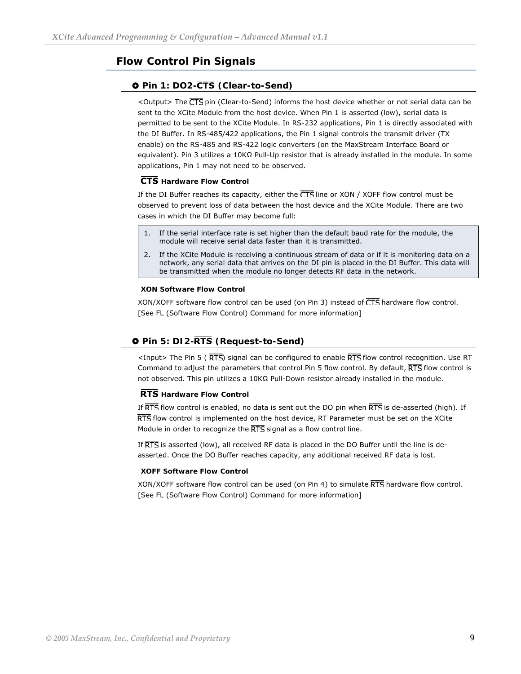# <span id="page-8-0"></span>**Flow Control Pin Signals**

### **Q Pin 1: DO2-CTS (Clear-to-Send)**

<Output> The CTS pin (Clear-to-Send) informs the host device whether or not serial data can be sent to the XCite Module from the host device. When Pin 1 is asserted (low), serial data is permitted to be sent to the XCite Module. In RS-232 applications, Pin 1 is directly associated with the DI Buffer. In RS-485/422 applications, the Pin 1 signal controls the transmit driver (TX enable) on the RS-485 and RS-422 logic converters (on the MaxStream Interface Board or equivalent). Pin 3 utilizes a 10KΩ Pull-Up resistor that is already installed in the module. In some applications, Pin 1 may not need to be observed.

#### **CTS** Hardware Flow Control

If the DI Buffer reaches its capacity, either the  $\overline{\text{CTS}}$  line or XON / XOFF flow control must be observed to prevent loss of data between the host device and the XCite Module. There are two cases in which the DI Buffer may become full:

- 1. If the serial interface rate is set higher than the default baud rate for the module, the module will receive serial data faster than it is transmitted.
- 2. If the XCite Module is receiving a continuous stream of data or if it is monitoring data on a network, any serial data that arrives on the DI pin is placed in the DI Buffer. This data will be transmitted when the module no longer detects RF data in the network.

#### **XON Software Flow Control**

XON/XOFF software flow control can be used (on Pin 3) instead of  $\overline{\text{CTS}}$  hardware flow control. [See FL [\(Software Flow Control\) Command for more information\]](#page-0-0)

#### **0 Pin 5: DI2-RTS (Request-to-Send)**

<Input> The Pin 5 ( $\overline{\text{RTS}}$ ) signal can be configured to enable  $\overline{\text{RTS}}$  flow control recognition. Use RT Command to adjust the parameters that control Pin 5 flow control. By default, RTS flow control is not observed. This pin utilizes a 10KΩ Pull-Down resistor already installed in the module.

#### **RTS** Hardware Flow Control

If  $\overline{\text{RTS}}$  flow control is enabled, no data is sent out the DO pin when  $\overline{\text{RTS}}$  is de-asserted (high). If  $\overline{\text{RTS}}$  flow control is implemented on the host device, RT Parameter must be set on the XCite Module in order to recognize the RTS signal as a flow control line.

If  $\overline{\text{RTS}}$  is asserted (low), all received RF data is placed in the DO Buffer until the line is deasserted. Once the DO Buffer reaches capacity, any additional received RF data is lost.

#### **XOFF Software Flow Control**

XON/XOFF software flow control can be used (on Pin 4) to simulate  $\overline{\text{RTS}}$  hardware flow control. [See FL (Software Flow Control) Command for more information]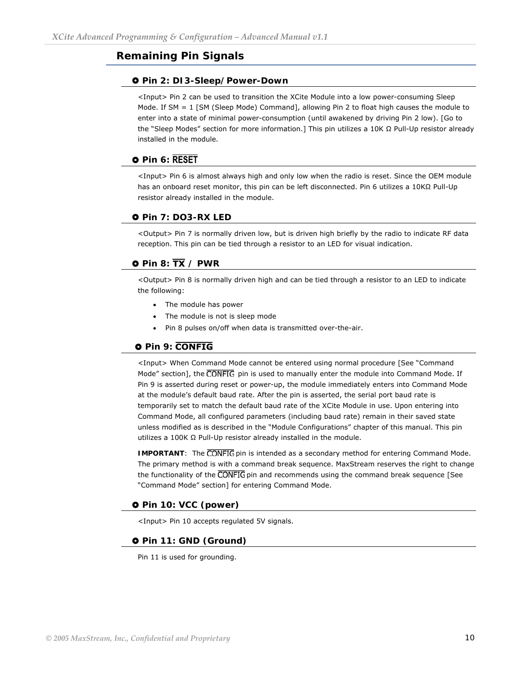### <span id="page-9-0"></span>**Remaining Pin Signals**

#### } **Pin 2: DI3-Sleep/Power-Down**

<Input> Pin 2 can be used to transition the XCite Module into a low power-consuming Sleep Mode. If SM = 1 [SM (Sleep Mode) Command], allowing Pin 2 to float high causes the module to enter into a state of minimal power-consumption (until awakened by driving Pin 2 low). [Go to the ["Sleep Modes"](#page-17-0) section for more information.] This pin utilizes a 10K Ω Pull-Up resistor already installed in the module.

### **0** Pin 6: RESET

<Input> Pin 6 is almost always high and only low when the radio is reset. Since the OEM module has an onboard reset monitor, this pin can be left disconnected. Pin 6 utilizes a 10KΩ Pull-Up resistor already installed in the module.

#### } **Pin 7: DO3-RX LED**

<Output> Pin 7 is normally driven low, but is driven high briefly by the radio to indicate RF data reception. This pin can be tied through a resistor to an LED for visual indication.

#### $\bullet$  Pin 8:  $\overline{TX}$  / PWR

<Output> Pin 8 is normally driven high and can be tied through a resistor to an LED to indicate the following:

- The module has power
- The module is not is sleep mode
- Pin 8 pulses on/off when data is transmitted over-the-air.

#### **Q** Pin 9: **CONFIG**

<Input> When Command Mode cannot be entered using normal procedure [See "Command Mode" section], the CONFIG pin is used to manually enter the module into Command Mode. If Pin 9 is asserted during reset or power-up, the module immediately enters into Command Mode at the module's default baud rate. After the pin is asserted, the serial port baud rate is temporarily set to match the default baud rate of the XCite Module in use. Upon entering into Command Mode, all configured parameters (including baud rate) remain in their saved state unless modified as is described in the "Module Configurations" chapter of this manual. This pin utilizes a 100K Ω Pull-Up resistor already installed in the module.

**IMPORTANT:** The CONFIG pin is intended as a secondary method for entering Command Mode. The primary method is with a command break sequence. MaxStream reserves the right to change the functionality of the CONFIG pin and recommends using the command break sequence [See "Command Mode" section] for entering Command Mode.

#### } **Pin 10: VCC (power)**

<Input> Pin 10 accepts regulated 5V signals.

#### } **Pin 11: GND (Ground)**

Pin 11 is used for grounding.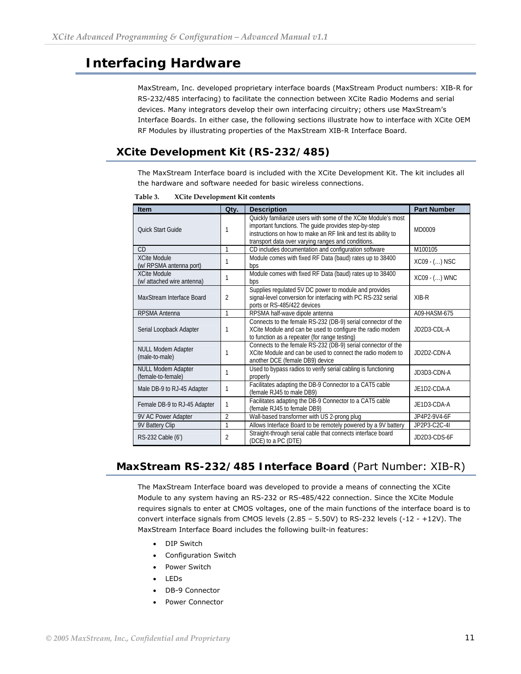# <span id="page-10-0"></span>**Interfacing Hardware**

MaxStream, Inc. developed proprietary interface boards (MaxStream Product numbers: XIB-R for RS-232/485 interfacing) to facilitate the connection between XCite Radio Modems and serial devices. Many integrators develop their own interfacing circuitry; others use MaxStream's Interface Boards. In either case, the following sections illustrate how to interface with XCite OEM RF Modules by illustrating properties of the MaxStream XIB-R Interface Board.

# **XCite Development Kit (RS-232/485)**

The MaxStream Interface board is included with the XCite Development Kit. The kit includes all the hardware and software needed for basic wireless connections.

| <b>Item</b>                                       | Qty.           | <b>Description</b>                                                                                                                                                                                                                             | <b>Part Number</b> |
|---------------------------------------------------|----------------|------------------------------------------------------------------------------------------------------------------------------------------------------------------------------------------------------------------------------------------------|--------------------|
| <b>Ouick Start Guide</b>                          |                | Quickly familiarize users with some of the XCite Module's most<br>important functions. The guide provides step-by-step<br>instructions on how to make an RF link and test its ability to<br>transport data over varying ranges and conditions. | MD0009             |
| CD                                                | 1              | CD includes documentation and configuration software                                                                                                                                                                                           | M100105            |
| <b>XCite Module</b><br>(w/ RPSMA antenna port)    |                | Module comes with fixed RF Data (baud) rates up to 38400<br>bps                                                                                                                                                                                | XC09 - () NSC      |
| <b>XCite Module</b><br>(w/ attached wire antenna) |                | Module comes with fixed RF Data (baud) rates up to 38400<br>bps                                                                                                                                                                                | XC09 - () WNC      |
| MaxStream Interface Board                         | $\overline{2}$ | Supplies regulated 5V DC power to module and provides<br>signal-level conversion for interfacing with PC RS-232 serial<br>ports or RS-485/422 devices                                                                                          | $XIR-R$            |
| <b>RPSMA Antenna</b>                              | $\mathbf{1}$   | RPSMA half-wave dipole antenna                                                                                                                                                                                                                 | A09-HASM-675       |
| Serial Loopback Adapter                           |                | Connects to the female RS-232 (DB-9) serial connector of the<br>XCite Module and can be used to configure the radio modem<br>to function as a repeater (for range testing)                                                                     | JD2D3-CDL-A        |
| <b>NULL Modem Adapter</b><br>(male-to-male)       |                | Connects to the female RS-232 (DB-9) serial connector of the<br>XCite Module and can be used to connect the radio modem to<br>another DCE (female DB9) device                                                                                  | JD2D2-CDN-A        |
| <b>NULL Modem Adapter</b><br>(female-to-female)   |                | Used to bypass radios to verify serial cabling is functioning<br>properly                                                                                                                                                                      | JD3D3-CDN-A        |
| Male DB-9 to RJ-45 Adapter                        |                | Facilitates adapting the DB-9 Connector to a CAT5 cable<br>(female RJ45 to male DB9)                                                                                                                                                           | JE1D2-CDA-A        |
| Female DB-9 to RJ-45 Adapter                      | 1              | Facilitates adapting the DB-9 Connector to a CAT5 cable<br>(female RJ45 to female DB9)                                                                                                                                                         | JE1D3-CDA-A        |
| 9V AC Power Adapter                               | $\overline{2}$ | Wall-based transformer with US 2-prong plug                                                                                                                                                                                                    | JP4P2-9V4-6F       |
| 9V Battery Clip                                   | 1              | Allows Interface Board to be remotely powered by a 9V battery                                                                                                                                                                                  | JP2P3-C2C-4I       |
| RS-232 Cable (6')                                 | $\overline{2}$ | Straight-through serial cable that connects interface board<br>(DCE) to a PC (DTE)                                                                                                                                                             | JD2D3-CDS-6F       |

**Table 3. XCite Development Kit contents**

## **MaxStream RS-232/485 Interface Board** (Part Number: XIB-R)

The MaxStream Interface board was developed to provide a means of connecting the XCite Module to any system having an RS-232 or RS-485/422 connection. Since the XCite Module requires signals to enter at CMOS voltages, one of the main functions of the interface board is to convert interface signals from CMOS levels (2.85 – 5.50V) to RS-232 levels (-12 - +12V). The MaxStream Interface Board includes the following built-in features:

- DIP Switch
- Configuration Switch
- Power Switch
- LEDs
- DB-9 Connector
- Power Connector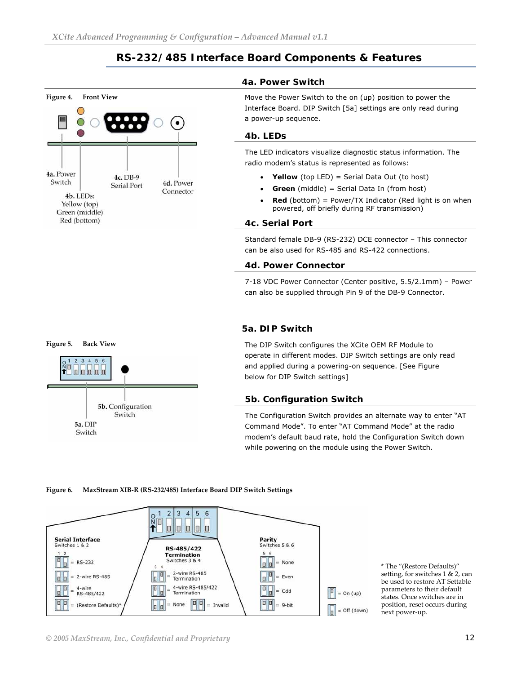## **RS-232/485 Interface Board Components & Features**

<span id="page-11-0"></span>

#### **4a. Power Switch**

Move the Power Switch to the on (up) position to power the Interface Board. DIP Switch [5a] settings are only read during a power-up sequence.

#### **4b. LEDs**

The LED indicators visualize diagnostic status information. The radio modem's status is represented as follows:

- **Yellow** (top LED) = Serial Data Out (to host)
- **Green** (middle) = Serial Data In (from host)
- **Red** (bottom) = Power/TX Indicator (Red light is on when powered, off briefly during RF transmission)

#### **4c. Serial Port**

Standard female DB-9 (RS-232) DCE connector – This connector can be also used for RS-485 and RS-422 connections.

#### **4d. Power Connector**

7-18 VDC Power Connector (Center positive, 5.5/2.1mm) – Power can also be supplied through Pin 9 of the DB-9 Connector.



#### **5a. DIP Switch**

The DIP Switch configures the XCite OEM RF Module to operate in different modes. DIP Switch settings are only read and applied during a powering-on sequence. [See Figure below for DIP Switch settings]

#### **5b. Configuration Switch**

The Configuration Switch provides an alternate way to enter "AT Command Mode". To enter "AT Command Mode" at the radio modem's default baud rate, hold the Configuration Switch down while powering on the module using the Power Switch.

#### **Figure 6. MaxStream XIB‐R (RS‐232/485) Interface Board DIP Switch Settings**



\* The "(Restore Defaults)" setting, for switches 1 & 2, can be used to restore AT Settable parameters to their default states. Once switches are in position, reset occurs during next power‐up.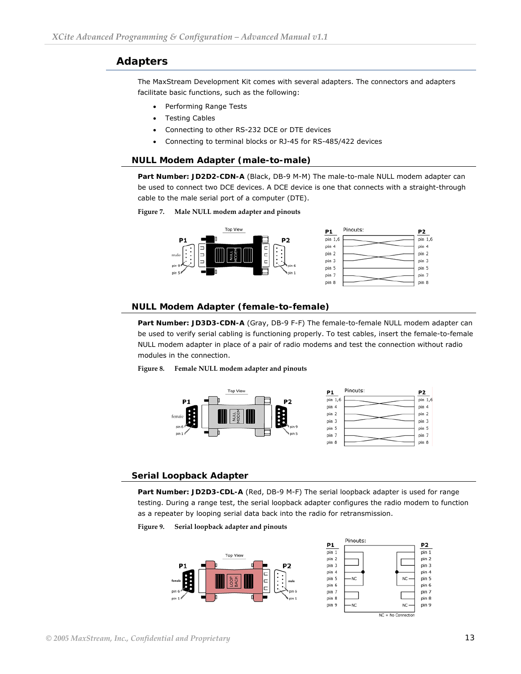## <span id="page-12-0"></span>**Adapters**

The MaxStream Development Kit comes with several adapters. The connectors and adapters facilitate basic functions, such as the following:

- Performing Range Tests
- Testing Cables
- Connecting to other RS-232 DCE or DTE devices
- Connecting to terminal blocks or RJ-45 for RS-485/422 devices

#### **NULL Modem Adapter (male-to-male)**

**Part Number: JD2D2-CDN-A** (Black, DB-9 M-M) The male-to-male NULL modem adapter can be used to connect two DCE devices. A DCE device is one that connects with a straight-through cable to the male serial port of a computer (DTE).

#### **Figure 7. Male NULL modem adapter and pinouts**



#### **NULL Modem Adapter (female-to-female)**

**Part Number: JD3D3-CDN-A** (Gray, DB-9 F-F) The female-to-female NULL modem adapter can be used to verify serial cabling is functioning properly. To test cables, insert the female-to-female NULL modem adapter in place of a pair of radio modems and test the connection without radio modules in the connection.

**Figure 8. Female NULL modem adapter and pinouts** 



#### **Serial Loopback Adapter**

**Part Number: JD2D3-CDL-A** (Red, DB-9 M-F) The serial loopback adapter is used for range testing. During a range test, the serial loopback adapter configures the radio modem to function as a repeater by looping serial data back into the radio for retransmission.

**Figure 9. Serial loopback adapter and pinouts** 

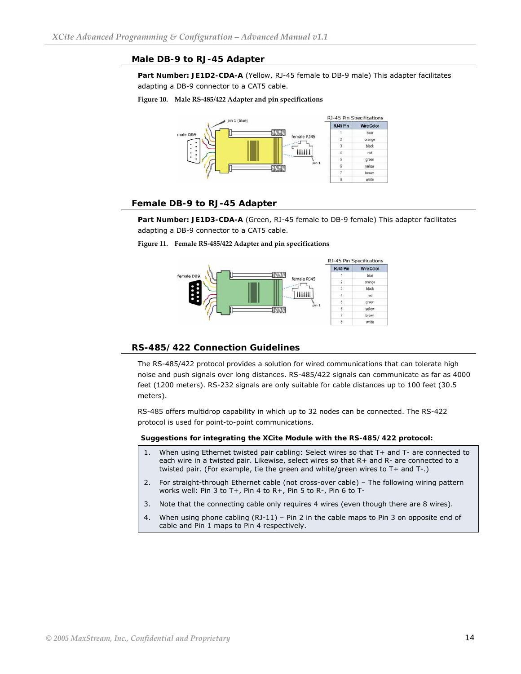#### **Male DB-9 to RJ-45 Adapter**

Part Number: JE1D2-CDA-A (Yellow, RJ-45 female to DB-9 male) This adapter facilitates adapting a DB-9 connector to a CAT5 cable.

#### **Figure 10. Male RS‐485/422 Adapter and pin specifications**



#### **Female DB-9 to RJ-45 Adapter**

Part Number: JE1D3-CDA-A (Green, RJ-45 female to DB-9 female) This adapter facilitates adapting a DB-9 connector to a CAT5 cable.

#### **Figure 11. Female RS‐485/422 Adapter and pin specifications**



#### **RS-485/422 Connection Guidelines**

The RS-485/422 protocol provides a solution for wired communications that can tolerate high noise and push signals over long distances. RS-485/422 signals can communicate as far as 4000 feet (1200 meters). RS-232 signals are only suitable for cable distances up to 100 feet (30.5 meters).

RS-485 offers multidrop capability in which up to 32 nodes can be connected. The RS-422 protocol is used for point-to-point communications.

**Suggestions for integrating the XCite Module with the RS-485/422 protocol:** 

- 1. When using Ethernet twisted pair cabling: Select wires so that T+ and T- are connected to each wire in a twisted pair. Likewise, select wires so that R+ and R- are connected to a twisted pair. (For example, tie the green and white/green wires to T+ and T-.)
- 2. For straight-through Ethernet cable (not cross-over cable) The following wiring pattern works well: Pin 3 to T+, Pin 4 to R+, Pin 5 to R-, Pin 6 to T-
- 3. Note that the connecting cable only requires 4 wires (even though there are 8 wires).
- 4. When using phone cabling (RJ-11) Pin 2 in the cable maps to Pin 3 on opposite end of cable and Pin 1 maps to Pin 4 respectively.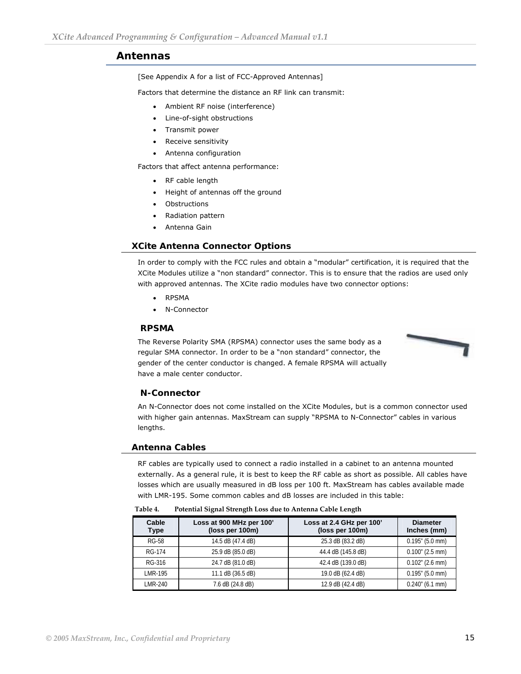#### <span id="page-14-0"></span>**Antennas**

[\[See Appendix A for a list of FCC-Approved Antennas\]](#page-42-0)

Factors that determine the distance an RF link can transmit:

- Ambient RF noise (interference)
- Line-of-sight obstructions
- Transmit power
- Receive sensitivity
- Antenna configuration

Factors that affect antenna performance:

- RF cable length
- Height of antennas off the ground
- **Obstructions**
- Radiation pattern
- Antenna Gain

#### **XCite Antenna Connector Options**

In order to comply with the FCC rules and obtain a "modular" certification, it is required that the XCite Modules utilize a "non standard" connector. This is to ensure that the radios are used only with approved antennas. The XCite radio modules have two connector options:

- RPSMA
- N-Connector

#### **RPSMA**

The Reverse Polarity SMA (RPSMA) connector uses the same body as a regular SMA connector. In order to be a "non standard" connector, the gender of the center conductor is changed. A female RPSMA will actually have a male center conductor.



#### **N-Connector**

An N-Connector does not come installed on the XCite Modules, but is a common connector used with higher gain antennas. MaxStream can supply "RPSMA to N-Connector" cables in various lengths.

#### **Antenna Cables**

RF cables are typically used to connect a radio installed in a cabinet to an antenna mounted externally. As a general rule, it is best to keep the RF cable as short as possible. All cables have losses which are usually measured in dB loss per 100 ft. MaxStream has cables available made with LMR-195. Some common cables and dB losses are included in this table:

| Table 4. | Potential Signal Strength Loss due to Antenna Cable Length |  |  |
|----------|------------------------------------------------------------|--|--|
|          |                                                            |  |  |

| Cable<br><b>Type</b> | Loss at 900 MHz per 100'<br>(loss per 100m) | Loss at 2.4 GHz per 100'<br>(loss per 100m) | <b>Diameter</b><br>Inches (mm) |
|----------------------|---------------------------------------------|---------------------------------------------|--------------------------------|
| <b>RG-58</b>         | 14.5 dB (47.4 dB)                           | 25.3 dB (83.2 dB)                           | $0.195$ " (5.0 mm)             |
| <b>RG-174</b>        | 25.9 dB (85.0 dB)                           | 44.4 dB (145.8 dB)                          | $0.100''$ (2.5 mm)             |
| RG-316               | 24.7 dB (81.0 dB)                           | 42.4 dB (139.0 dB)                          | $0.102$ " (2.6 mm)             |
| LMR-195              | 11.1 dB (36.5 dB)                           | 19.0 dB (62.4 dB)                           | $0.195$ " (5.0 mm)             |
| LMR-240              | 7.6 dB (24.8 dB)                            | 12.9 dB (42.4 dB)                           | $0.240$ " (6.1 mm)             |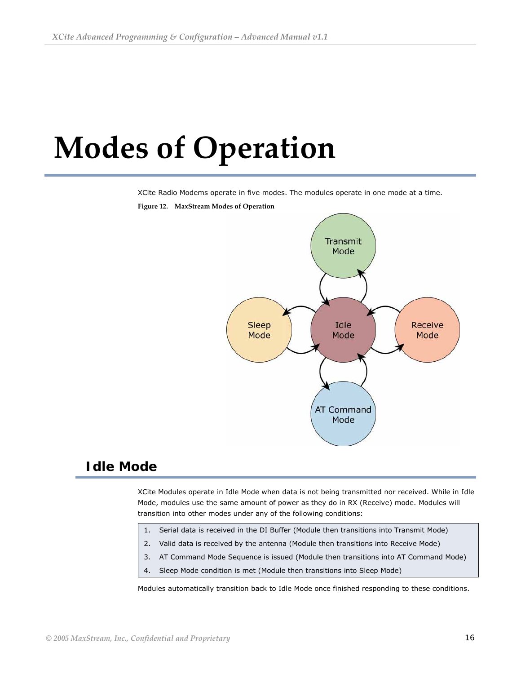# <span id="page-15-0"></span> **Modes of Operation**

XCite Radio Modems operate in five modes. The modules operate in one mode at a time.



#### **Figure 12. MaxStream Modes of Operation**

# **Idle Mode**

XCite Modules operate in Idle Mode when data is not being transmitted nor received. While in Idle Mode, modules use the same amount of power as they do in RX (Receive) mode. Modules will transition into other modes under any of the following conditions:

- 1. Serial data is received in the DI Buffer (Module then transitions into Transmit Mode)
- 2. Valid data is received by the antenna (Module then transitions into Receive Mode)
- 3. AT Command Mode Sequence is issued (Module then transitions into AT Command Mode)
- 4. Sleep Mode condition is met (Module then transitions into Sleep Mode)

Modules automatically transition back to Idle Mode once finished responding to these conditions.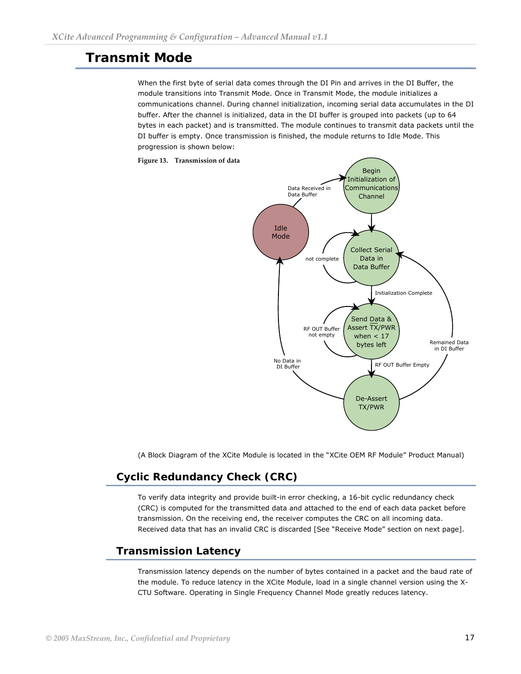# <span id="page-16-0"></span>**Transmit Mode**

When the first byte of serial data comes through the DI Pin and arrives in the DI Buffer, the module transitions into Transmit Mode. Once in Transmit Mode, the module initializes a communications channel. During channel initialization, incoming serial data accumulates in the DI buffer. After the channel is initialized, data in the DI buffer is grouped into packets (up to 64 bytes in each packet) and is transmitted. The module continues to transmit data packets until the DI buffer is empty. Once transmission is finished, the module returns to Idle Mode. This progression is shown below:



(A Block Diagram of the XCite Module is located in the "XCite OEM RF Module" Product Manual)

# **Cyclic Redundancy Check (CRC)**

To verify data integrity and provide built-in error checking, a 16-bit cyclic redundancy check (CRC) is computed for the transmitted data and attached to the end of each data packet before transmission. On the receiving end, the receiver computes the CRC on all incoming data. Received data that has an invalid CRC is discarded [See "Receive Mode" section on next page].

## **Transmission Latency**

Transmission latency depends on the number of bytes contained in a packet and the baud rate of the module. To reduce latency in the XCite Module, load in a single channel version using the X-CTU Software. Operating in Single Frequency Channel Mode greatly reduces latency.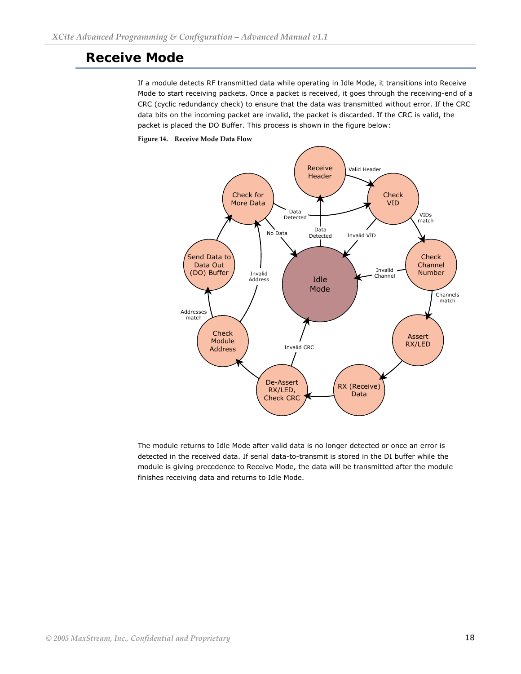# <span id="page-17-0"></span>**Receive Mode**

If a module detects RF transmitted data while operating in Idle Mode, it transitions into Receive Mode to start receiving packets. Once a packet is received, it goes through the receiving-end of a CRC (cyclic redundancy check) to ensure that the data was transmitted without error. If the CRC data bits on the incoming packet are invalid, the packet is discarded. If the CRC is valid, the packet is placed the DO Buffer. This process is shown in the figure below:

#### **Figure 14. Receive Mode Data Flow**



The module returns to Idle Mode after valid data is no longer detected or once an error is detected in the received data. If serial data-to-transmit is stored in the DI buffer while the module is giving precedence to Receive Mode, the data will be transmitted after the module finishes receiving data and returns to Idle Mode.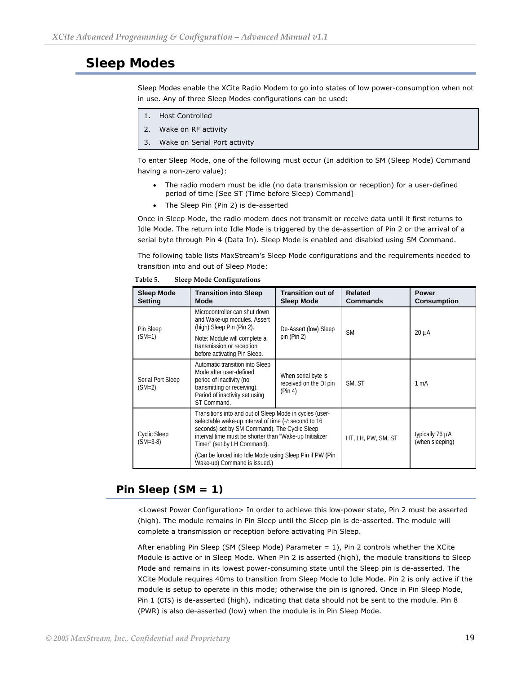# <span id="page-18-0"></span>**Sleep Modes**

Sleep Modes enable the XCite Radio Modem to go into states of low power-consumption when not in use. Any of three Sleep Modes configurations can be used:

- 1. Host Controlled
- 2. Wake on RF activity
- 3. Wake on Serial Port activity

To enter Sleep Mode, one of the following must occur (In addition to [SM \(Sleep Mode\) Command](#page-0-0) having a non-zero value):

- The radio modem must be idle (no data transmission or reception) for a user-defined period of time [\[See ST \(Time before Sleep\) Command](#page-0-0)]
- The Sleep Pin (Pin 2) is de-asserted

Once in Sleep Mode, the radio modem does not transmit or receive data until it first returns to Idle Mode. The return into Idle Mode is triggered by the de-assertion of Pin 2 or the arrival of a serial byte through Pin 4 (Data In). Sleep Mode is enabled and disabled using SM Command.

The following table lists MaxStream's Sleep Mode configurations and the requirements needed to transition into and out of Sleep Mode:

| <b>Sleep Mode</b><br><b>Setting</b>                                                                                                                                                                                                                                                                  | <b>Transition into Sleep</b><br>Mode                                                                                                                                   | <b>Transition out of</b><br><b>Sleep Mode</b>            | <b>Related</b><br><b>Commands</b>  | <b>Power</b><br><b>Consumption</b> |
|------------------------------------------------------------------------------------------------------------------------------------------------------------------------------------------------------------------------------------------------------------------------------------------------------|------------------------------------------------------------------------------------------------------------------------------------------------------------------------|----------------------------------------------------------|------------------------------------|------------------------------------|
| Pin Sleep                                                                                                                                                                                                                                                                                            | Microcontroller can shut down<br>and Wake-up modules. Assert<br>(high) Sleep Pin (Pin 2).                                                                              | De-Assert (low) Sleep<br><b>SM</b>                       |                                    | $20 \mu A$                         |
| $(SM=1)$                                                                                                                                                                                                                                                                                             | Note: Module will complete a<br>transmission or reception<br>before activating Pin Sleep.                                                                              | pin (Pin 2)                                              |                                    |                                    |
| Serial Port Sleep<br>$(SM=2)$                                                                                                                                                                                                                                                                        | Automatic transition into Sleep<br>Mode after user-defined<br>period of inactivity (no<br>transmitting or receiving).<br>Period of inactivity set using<br>ST Command. | When serial byte is<br>received on the DI pin<br>(Pin 4) | SM, ST                             | 1 mA                               |
| Transitions into and out of Sleep Mode in cycles (user-<br>selectable wake-up interval of time ( $\frac{1}{2}$ second to 16<br>seconds) set by SM Command). The Cyclic Sleep<br>Cyclic Sleep<br>interval time must be shorter than "Wake-up Initializer<br>$(SM=3-8)$<br>Timer" (set by LH Command). |                                                                                                                                                                        | HT, LH, PW, SM, ST                                       | typically 76 µA<br>(when sleeping) |                                    |
|                                                                                                                                                                                                                                                                                                      | (Can be forced into Idle Mode using Sleep Pin if PW (Pin)<br>Wake-up) Command is issued.)                                                                              |                                                          |                                    |                                    |

**Table 5. Sleep Mode Configurations** 

## **Pin Sleep (SM = 1)**

<Lowest Power Configuration> In order to achieve this low-power state, Pin 2 must be asserted (high). The module remains in Pin Sleep until the Sleep pin is de-asserted. The module will complete a transmission or reception before activating Pin Sleep.

After enabling Pin Sleep (SM (Sleep Mode) Parameter = 1), Pin 2 controls whether the XCite Module is active or in Sleep Mode. When Pin 2 is asserted (high), the module transitions to Sleep Mode and remains in its lowest power-consuming state until the Sleep pin is de-asserted. The XCite Module requires 40ms to transition from Sleep Mode to Idle Mode. Pin 2 is only active if the module is setup to operate in this mode; otherwise the pin is ignored. Once in Pin Sleep Mode, Pin 1  $($  $\overline{CTS}$ ) is de-asserted (high), indicating that data should not be sent to the module. Pin 8 (PWR) is also de-asserted (low) when the module is in Pin Sleep Mode.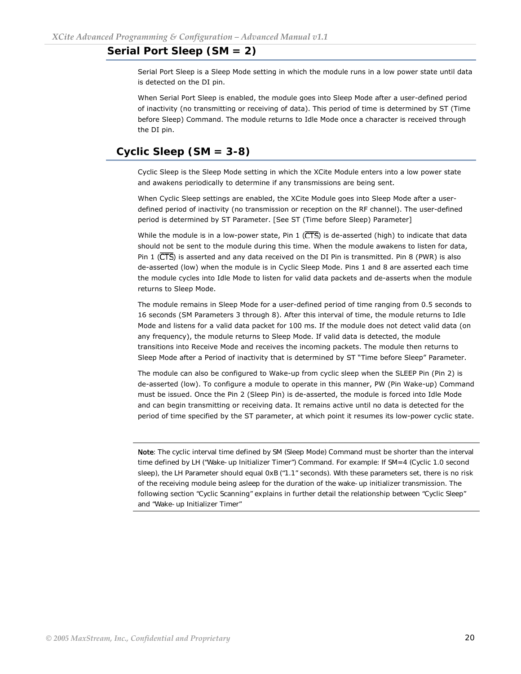## <span id="page-19-0"></span>**Serial Port Sleep (SM = 2)**

Serial Port Sleep is a Sleep Mode setting in which the module runs in a low power state until data is detected on the DI pin.

When Serial Port Sleep is enabled, the module goes into Sleep Mode after a user-defined period of inactivity (no transmitting or receiving of data). This period of time is determined by ST (Time before Sleep) Command. The module returns to Idle Mode once a character is received through the DI pin.

## **Cyclic Sleep (SM = 3-8)**

Cyclic Sleep is the Sleep Mode setting in which the XCite Module enters into a low power state and awakens periodically to determine if any transmissions are being sent.

When Cyclic Sleep settings are enabled, the XCite Module goes into Sleep Mode after a userdefined period of inactivity (no transmission or reception on the RF channel). The user-defined period is determined by ST Parameter. [See ST (Time before Sleep) Parameter]

While the module is in a low-power state, Pin 1 ( $\overline{\text{CTS}}$ ) is de-asserted (high) to indicate that data should not be sent to the module during this time. When the module awakens to listen for data, Pin 1 ( $\overline{\text{CTS}}$ ) is asserted and any data received on the DI Pin is transmitted. Pin 8 (PWR) is also de-asserted (low) when the module is in Cyclic Sleep Mode. Pins 1 and 8 are asserted each time the module cycles into Idle Mode to listen for valid data packets and de-asserts when the module returns to Sleep Mode.

The module remains in Sleep Mode for a user-defined period of time ranging from 0.5 seconds to 16 seconds (SM Parameters 3 through 8). After this interval of time, the module returns to Idle Mode and listens for a valid data packet for 100 ms. If the module does not detect valid data (on any frequency), the module returns to Sleep Mode. If valid data is detected, the module transitions into Receive Mode and receives the incoming packets. The module then returns to Sleep Mode after a Period of inactivity that is determined by ST "Time before Sleep" Parameter.

The module can also be configured to Wake-up from cyclic sleep when the SLEEP Pin (Pin 2) is de-asserted (low). To configure a module to operate in this manner, PW (Pin Wake-up) Command must be issued. Once the Pin 2 (Sleep Pin) is de-asserted, the module is forced into Idle Mode and can begin transmitting or receiving data. It remains active until no data is detected for the period of time specified by the ST parameter, at which point it resumes its low-power cyclic state.

Note: The cyclic interval time defined by SM (Sleep Mode) Command must be shorter than the interval time defined by LH ("Wake-up Initializer Timer") Command. For example: If SM=4 (Cyclic 1.0 second sleep), the LH Parameter should equal 0xB ("1.1" seconds). With these parameters set, there is no risk of the receiving module being asleep for the duration of the wake-up initializer transmission. The following section "Cyclic Scanning" explains in further detail the relationship between "Cyclic Sleep" and "Wake-up Initializer Timer"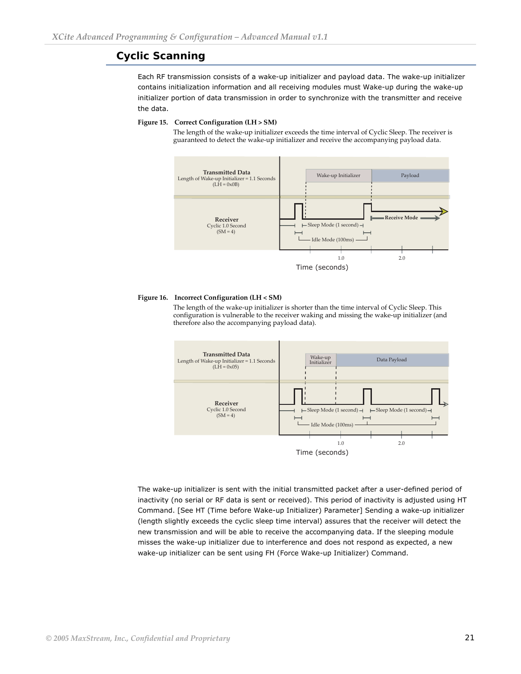## <span id="page-20-0"></span>**Cyclic Scanning**

Each RF transmission consists of a wake-up initializer and payload data. The wake-up initializer contains initialization information and all receiving modules must Wake-up during the wake-up initializer portion of data transmission in order to synchronize with the transmitter and receive the data.

#### **Figure 15. Correct Configuration (LH > SM)**

The length of the wake‐up initializer exceeds the time interval of Cyclic Sleep. The receiver is guaranteed to detect the wake‐up initializer and receive the accompanying payload data.



#### **Figure 16. Incorrect Configuration (LH < SM)**

The length of the wake-up initializer is shorter than the time interval of Cyclic Sleep. This configuration is vulnerable to the receiver waking and missing the wake-up initializer (and therefore also the accompanying payload data).



The wake-up initializer is sent with the initial transmitted packet after a user-defined period of inactivity (no serial or RF data is sent or received). This period of inactivity is adjusted using HT Command. [See HT (Time before Wake-up Initializer) Parameter] Sending a wake-up initializer (length slightly exceeds the cyclic sleep time interval) assures that the receiver will detect the new transmission and will be able to receive the accompanying data. If the sleeping module misses the wake-up initializer due to interference and does not respond as expected, a new wake-up initializer can be sent using FH (Force Wake-up Initializer) Command.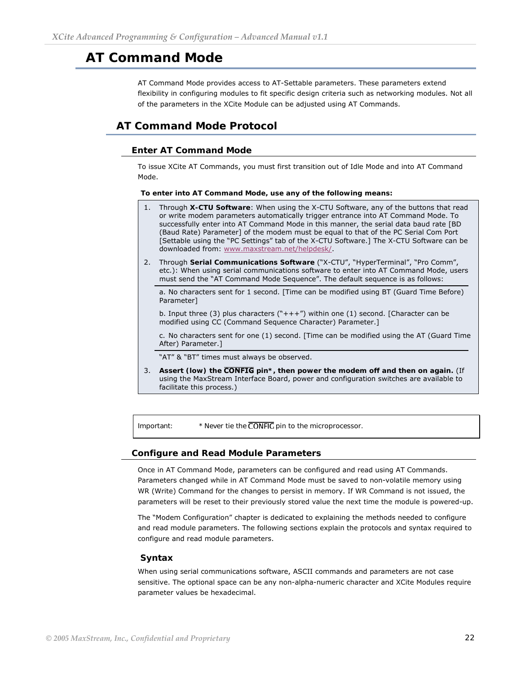# <span id="page-21-0"></span>**AT Command Mode**

AT Command Mode provides access to AT-Settable parameters. These parameters extend flexibility in configuring modules to fit specific design criteria such as networking modules. Not all of the parameters in the XCite Module can be adjusted using AT Commands.

# **AT Command Mode Protocol**

### **Enter AT Command Mode**

To issue XCite AT Commands, you must first transition out of Idle Mode and into AT Command Mode.

**To enter into AT Command Mode, use any of the following means:**

- 1. Through **X-CTU Software**: When using the X-CTU Software, any of the buttons that read or write modem parameters automatically trigger entrance into AT Command Mode. To successfully enter into AT Command Mode in this manner, the serial data baud rate [BD (Baud Rate) Parameter] of the modem must be equal to that of the PC Serial Com Port [Settable using the "PC Settings" tab of the X-CTU Software.] The X-CTU Software can be downloaded from: [www.maxstream.net/helpdesk/](http://www.maxstream.net/helpdesk/).
- 2. Through **Serial Communications Software** ("X-CTU", "HyperTerminal", "Pro Comm", etc.): When using serial communications software to enter into AT Command Mode, users must send the "AT Command Mode Sequence". The default sequence is as follows:

a. No characters sent for 1 second. [Time can be modified using BT (Guard Time Before) Parameter]

b. Input three (3) plus characters ("+++") within one (1) second. [Character can be modified using CC (Command Sequence Character) Parameter.]

c. No characters sent for one (1) second. [Time can be modified using the AT (Guard Time After) Parameter.]

"AT" & "BT" times must always be observed.

3. Assert (low) the **CONFIG** pin<sup>\*</sup>, then power the modem off and then on again. (If using the MaxStream Interface Board, power and configuration switches are available to facilitate this process.)

Important:  $*$  Never tie the **CONFIG** pin to the microprocessor.

#### **Configure and Read Module Parameters**

Once in AT Command Mode, parameters can be configured and read using AT Commands. Parameters changed while in AT Command Mode must be saved to non-volatile memory using WR (Write) Command for the changes to persist in memory. If WR Command is not issued, the parameters will be reset to their previously stored value the next time the module is powered-up.

The ["Modem Configuration](#page-24-0)" chapter is dedicated to explaining the methods needed to configure and read module parameters. The following sections explain the protocols and syntax required to configure and read module parameters.

#### **Syntax**

When using serial communications software, ASCII commands and parameters are not case sensitive. The optional space can be any non-alpha-numeric character and XCite Modules require parameter values be hexadecimal.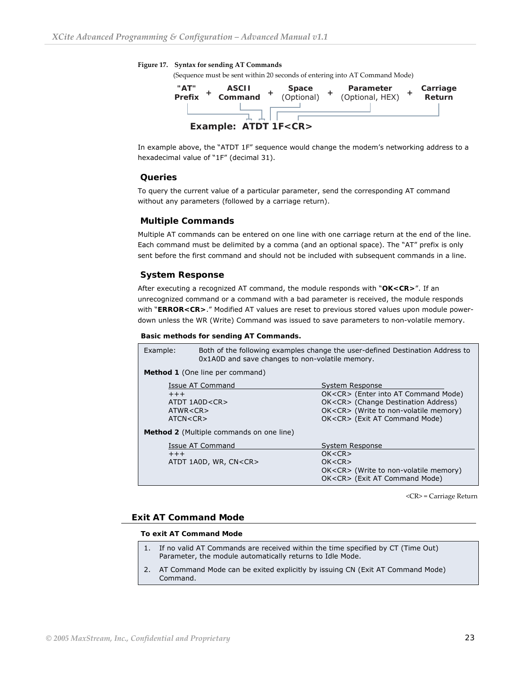#### **Figure 17. Syntax for sending AT Commands**

(Sequence must be sent within 20 seconds of entering into AT Command Mode)



In example above, the "ATDT 1F" sequence would change the modem's networking address to a hexadecimal value of "1F" (decimal 31).

#### **Queries**

To query the current value of a particular parameter, send the corresponding AT command without any parameters (followed by a carriage return).

#### **Multiple Commands**

Multiple AT commands can be entered on one line with one carriage return at the end of the line. Each command must be delimited by a comma (and an optional space). The "AT" prefix is only sent before the first command and should not be included with subsequent commands in a line.

#### **System Response**

After executing a recognized AT command, the module responds with "**OK<CR>**". If an unrecognized command or a command with a bad parameter is received, the module responds with "**ERROR<CR>**." Modified AT values are reset to previous stored values upon module powerdown unless the WR (Write) Command was issued to save parameters to non-volatile memory.

#### **Basic methods for sending AT Commands.**

| Example:                                 | Both of the following examples change the user-defined Destination Address to<br>0x1A0D and save changes to non-volatile memory. |                                             |  |  |
|------------------------------------------|----------------------------------------------------------------------------------------------------------------------------------|---------------------------------------------|--|--|
|                                          | Method 1 (One line per command)                                                                                                  |                                             |  |  |
|                                          | Issue AT Command                                                                                                                 | System Response                             |  |  |
| $++++$                                   |                                                                                                                                  | OK <cr> (Enter into AT Command Mode)</cr>   |  |  |
|                                          | ATDT 1A0D <cr></cr>                                                                                                              | OK <cr> (Change Destination Address)</cr>   |  |  |
| ATWR < CR                                |                                                                                                                                  | OK <cr> (Write to non-volatile memory)</cr> |  |  |
|                                          | OK <cr> (Exit AT Command Mode)<br/>ATCN &lt; CR</cr>                                                                             |                                             |  |  |
| Method 2 (Multiple commands on one line) |                                                                                                                                  |                                             |  |  |
|                                          | Issue AT Command<br>System Response                                                                                              |                                             |  |  |
| OK < CR<br>$+++$                         |                                                                                                                                  |                                             |  |  |
|                                          | ATDT 1A0D, WR, CN <cr><br/>OK &lt; CR</cr>                                                                                       |                                             |  |  |
|                                          |                                                                                                                                  | OK <cr> (Write to non-volatile memory)</cr> |  |  |
|                                          |                                                                                                                                  | OK <cr> (Exit AT Command Mode)</cr>         |  |  |

<CR> = Carriage Return

#### **Exit AT Command Mode**

#### **To exit AT Command Mode**

- 1. If no valid AT Commands are received within the time specified by CT (Time Out) Parameter, the module automatically returns to Idle Mode.
- 2. AT Command Mode can be exited explicitly by issuing CN (Exit AT Command Mode) Command.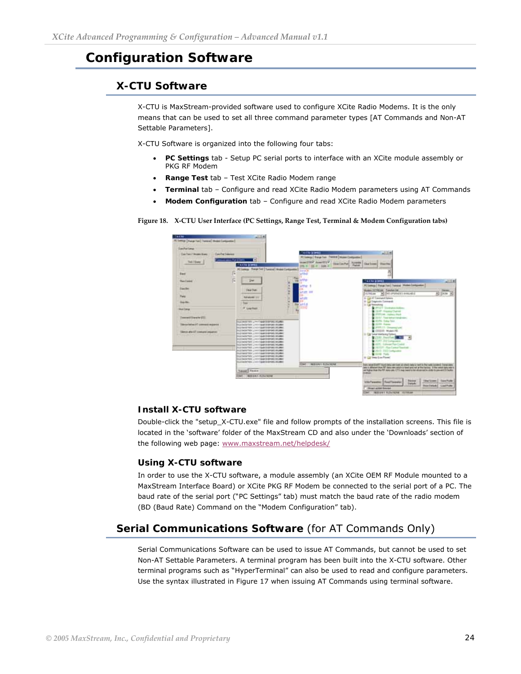# <span id="page-23-0"></span>**Configuration Software**

# **X-CTU Software**

X-CTU is MaxStream-provided software used to configure XCite Radio Modems. It is the only means that can be used to set all three command parameter types [AT Commands and Non-AT Settable Parameters].

X-CTU Software is organized into the following four tabs:

- **PC Settings** tab Setup PC serial ports to interface with an XCite module assembly or PKG RF Modem
- **Range Test** tab Test XCite Radio Modem range
- **Terminal** tab Configure and read XCite Radio Modem parameters using AT Commands
- **Modem Configuration** tab Configure and read XCite Radio Modem parameters



**Figure 18. X‐CTU User Interface (PC Settings, Range Test, Terminal & Modem Configuration tabs)** 

#### **Install X-CTU software**

Double-click the "setup\_X-CTU.exe" file and follow prompts of the installation screens. This file is located in the 'software' folder of the MaxStream CD and also under the 'Downloads' section of the following web page: [www.maxstream.net/helpdesk/](http://www.maxstream.net/helpdesk/)

#### **Using X-CTU software**

In order to use the X-CTU software, a module assembly (an XCite OEM RF Module mounted to a MaxStream Interface Board) or XCite PKG RF Modem be connected to the serial port of a PC. The baud rate of the serial port ("PC Settings" tab) must match the baud rate of the radio modem (BD (Baud Rate) Command on the "Modem Configuration" tab).

# **Serial Communications Software** (for AT Commands Only)

Serial Communications Software can be used to issue AT Commands, but cannot be used to set Non-AT Settable Parameters. A terminal program has been built into the X-CTU software. Other terminal programs such as "HyperTerminal" can also be used to read and configure parameters. Use the syntax illustrated in Figure 17 when issuing AT Commands using terminal software.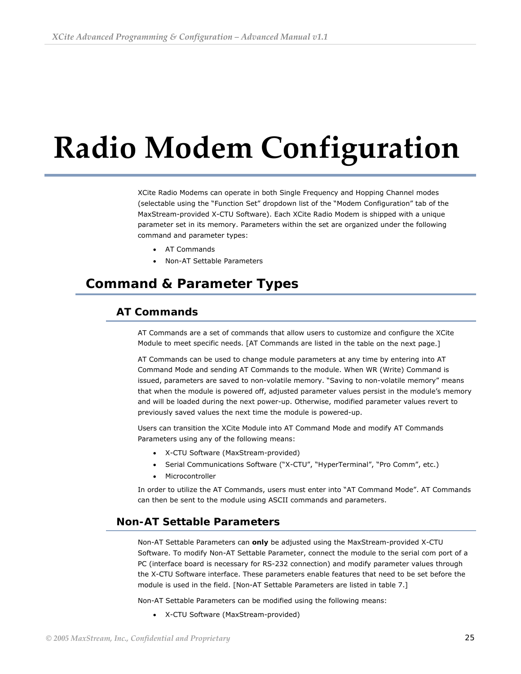# <span id="page-24-0"></span> **Radio Modem Configuration**

XCite Radio Modems can operate in both Single Frequency and Hopping Channel modes (selectable using the "Function Set" dropdown list of the "Modem Configuration" tab of the MaxStream-provided X-CTU Software). Each XCite Radio Modem is shipped with a unique parameter set in its memory. Parameters within the set are organized under the following command and parameter types:

- AT Commands
- Non-AT Settable Parameters

# **Command & Parameter Types**

## **AT Commands**

AT Commands are a set of commands that allow users to customize and configure the XCite Module to meet specific needs. [AT Commands are listed in the [table](#page-0-0) on the next page.]

AT Commands can be used to change module parameters at any time by entering into AT Command Mode and sending AT Commands to the module. When WR (Write) Command is issued, parameters are saved to non-volatile memory. "Saving to non-volatile memory" means that when the module is powered off, adjusted parameter values persist in the module's memory and will be loaded during the next power-up. Otherwise, modified parameter values revert to previously saved values the next time the module is powered-up.

Users can transition the XCite Module into AT Command Mode and modify AT Commands Parameters using any of the following means:

- X-CTU Software (MaxStream-provided)
- Serial Communications Software ("X-CTU", "HyperTerminal", "Pro Comm", etc.)
- Microcontroller

In order to utilize the AT Commands, users must enter into "AT Command Mode". AT Commands can then be sent to the module using ASCII commands and parameters.

### **Non-AT Settable Parameters**

Non-AT Settable Parameters can **only** be adjusted using the MaxStream-provided X-CTU Software. To modify Non-AT Settable Parameter, connect the module to the serial com port of a PC (interface board is necessary for RS-232 connection) and modify parameter values through the X-CTU Software interface. These parameters enable features that need to be set before the module is used in the field. [Non-AT Settable Parameters are listed in [table 7](#page-0-0).]

Non-AT Settable Parameters can be modified using the following means:

• X-CTU Software (MaxStream-provided)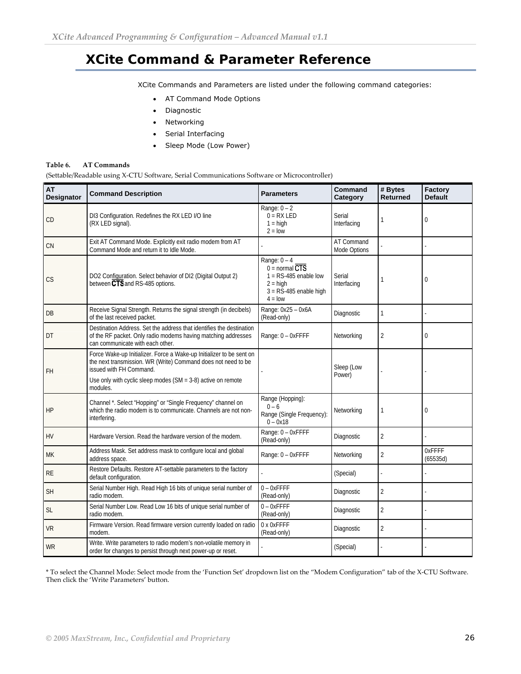# <span id="page-25-0"></span>**XCite Command & Parameter Reference**

XCite Commands and Parameters are listed under the following command categories:

- AT Command Mode Options
- Diagnostic
- Networking
- Serial Interfacing
- Sleep Mode (Low Power)

#### **Table 6. AT Commands**

(Settable/Readable using X-CTU Software, Serial Communications Software or Microcontroller)

| <b>AT</b><br>Designator | <b>Command Description</b>                                                                                                                                                                                                         | <b>Parameters</b>                                                                                                    | Command<br>Category        | # Bytes<br><b>Returned</b> | Factory<br><b>Default</b> |
|-------------------------|------------------------------------------------------------------------------------------------------------------------------------------------------------------------------------------------------------------------------------|----------------------------------------------------------------------------------------------------------------------|----------------------------|----------------------------|---------------------------|
| CD                      | DI3 Configuration. Redefines the RX LED I/O line<br>(RX LED signal).                                                                                                                                                               | Range: $0 - 2$<br>$0 = RX LED$<br>$1 = high$<br>$2 =$ low                                                            | Serial<br>Interfacing      |                            | $\Omega$                  |
| <b>CN</b>               | Exit AT Command Mode. Explicitly exit radio modem from AT<br>Command Mode and return it to Idle Mode.                                                                                                                              |                                                                                                                      | AT Command<br>Mode Options |                            |                           |
| <b>CS</b>               | DO2 Configuration. Select behavior of DI2 (Digital Output 2)<br>between CTS and RS-485 options.                                                                                                                                    | Range: $0 - 4$<br>$0 = normal CTS$<br>$1 = RS-485$ enable low<br>$2 = high$<br>$3 = RS-485$ enable high<br>$4 = 10W$ | Serial<br>Interfacing      |                            | $\mathbf{0}$              |
| DB                      | Receive Signal Strength. Returns the signal strength (in decibels)<br>of the last received packet.                                                                                                                                 | Range: 0x25 - 0x6A<br>(Read-only)                                                                                    | Diagnostic                 | 1                          |                           |
| DT                      | Destination Address. Set the address that identifies the destination<br>of the RF packet. Only radio modems having matching addresses<br>can communicate with each other.                                                          | Range: 0 - OxFFFF                                                                                                    | Networking                 | 2                          | $\mathbf{0}$              |
| FH                      | Force Wake-up Initializer. Force a Wake-up Initializer to be sent on<br>the next transmission. WR (Write) Command does not need to be<br>issued with FH Command.<br>Use only with cyclic sleep modes $(SM = 3-8)$ active on remote |                                                                                                                      | Sleep (Low<br>Power)       |                            |                           |
| HP                      | modules.<br>Channel *. Select "Hopping" or "Single Frequency" channel on<br>which the radio modem is to communicate. Channels are not non-<br>interfering.                                                                         | Range (Hopping):<br>$0 - 6$<br>Range (Single Frequency):<br>$0 - 0x18$                                               | Networking                 | 1                          | $\mathbf{0}$              |
| <b>HV</b>               | Hardware Version. Read the hardware version of the modem.                                                                                                                                                                          | Range: 0 - 0xFFFF<br>(Read-only)                                                                                     | Diagnostic                 | $\overline{2}$             |                           |
| МK                      | Address Mask. Set address mask to configure local and global<br>address space.                                                                                                                                                     | Range: 0 - OxFFFF                                                                                                    | Networking                 | $\overline{2}$             | 0xFFFF<br>(65535d)        |
| <b>RE</b>               | Restore Defaults. Restore AT-settable parameters to the factory<br>default configuration.                                                                                                                                          |                                                                                                                      | (Special)                  |                            |                           |
| <b>SH</b>               | Serial Number High. Read High 16 bits of unique serial number of<br>radio modem.                                                                                                                                                   | $0 - 0x$ FFFF<br>(Read-only)                                                                                         | Diagnostic                 | $\overline{2}$             |                           |
| <b>SL</b>               | Serial Number Low. Read Low 16 bits of unique serial number of<br>radio modem.                                                                                                                                                     | $0 - 0x$ FFFF<br>(Read-only)                                                                                         | Diagnostic                 | $\overline{2}$             |                           |
| <b>VR</b>               | Firmware Version. Read firmware version currently loaded on radio<br>modem.                                                                                                                                                        | 0 x 0xFFFF<br>(Read-only)                                                                                            | Diagnostic                 | $\overline{2}$             |                           |
| WR                      | Write. Write parameters to radio modem's non-volatile memory in<br>order for changes to persist through next power-up or reset.                                                                                                    |                                                                                                                      | (Special)                  |                            |                           |

\* To select the Channel Mode: Select mode from the 'Function Set' dropdown list on the "Modem Configuration" tab of the X-CTU Software. Then click the 'Write Parameters' button.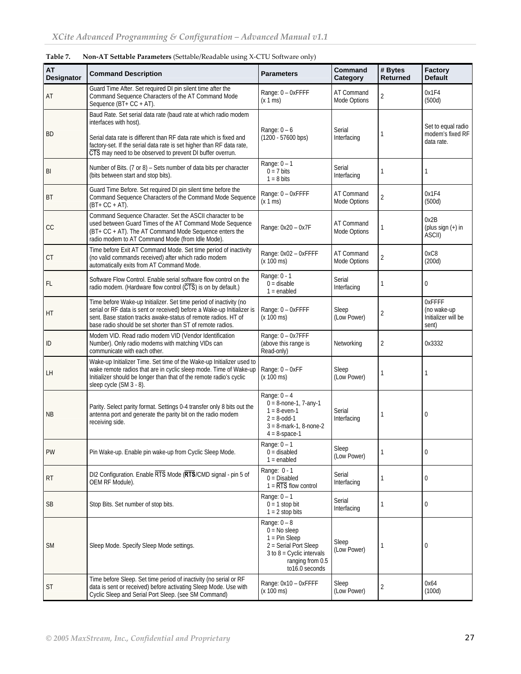| <b>AT</b><br>Designator | <b>Command Description</b>                                                                                                                                                                                                                                                                            | <b>Parameters</b>                                                                                                                                      | Command<br>Category        | # Bytes<br><b>Returned</b> | Factory<br><b>Default</b>                             |
|-------------------------|-------------------------------------------------------------------------------------------------------------------------------------------------------------------------------------------------------------------------------------------------------------------------------------------------------|--------------------------------------------------------------------------------------------------------------------------------------------------------|----------------------------|----------------------------|-------------------------------------------------------|
| AT                      | Guard Time After. Set required DI pin silent time after the<br>Command Sequence Characters of the AT Command Mode<br>Sequence (BT+ CC + AT).                                                                                                                                                          | Range: 0 - OxFFFF<br>(x 1 ms)                                                                                                                          | AT Command<br>Mode Options | $\overline{2}$             | 0x1F4<br>(500d)                                       |
| <b>BD</b>               | Baud Rate. Set serial data rate (baud rate at which radio modem<br>interfaces with host).<br>Serial data rate is different than RF data rate which is fixed and<br>factory-set. If the serial data rate is set higher than RF data rate,<br>CTS may need to be observed to prevent DI buffer overrun. | Range: $0 - 6$<br>$(1200 - 57600$ bps)                                                                                                                 | Serial<br>Interfacing      |                            | Set to equal radio<br>modem's fixed RF<br>data rate.  |
| BI                      | Number of Bits. (7 or 8) – Sets number of data bits per character<br>(bits between start and stop bits).                                                                                                                                                                                              | Range: $0 - 1$<br>$0 = 7$ bits<br>$1 = 8$ bits                                                                                                         | Serial<br>Interfacing      |                            | 1                                                     |
| BT                      | Guard Time Before. Set required DI pin silent time before the<br>Command Sequence Characters of the Command Mode Sequence<br>$(BT + CC + AT)$ .                                                                                                                                                       | Range: 0 - 0xFFFF<br>(x 1 ms)                                                                                                                          | AT Command<br>Mode Options | 2                          | 0x1F4<br>(500d)                                       |
| CC                      | Command Sequence Character. Set the ASCII character to be<br>used between Guard Times of the AT Command Mode Sequence<br>(BT+ CC + AT). The AT Command Mode Sequence enters the<br>radio modem to AT Command Mode (from Idle Mode).                                                                   | Range: 0x20 - 0x7F                                                                                                                                     | AT Command<br>Mode Options |                            | 0x2B<br>(plus sign $(+)$ in<br>ASCII)                 |
| CT                      | Time before Exit AT Command Mode. Set time period of inactivity<br>(no valid commands received) after which radio modem<br>automatically exits from AT Command Mode.                                                                                                                                  | Range: 0x02 - 0xFFFF<br>$(x 100 \text{ ms})$                                                                                                           | AT Command<br>Mode Options | 2                          | 0xC8<br>(200d)                                        |
| FL                      | Software Flow Control. Enable serial software flow control on the<br>radio modem. (Hardware flow control (CTS) is on by default.)                                                                                                                                                                     | Range: 0 - 1<br>$0 =$ disable<br>$1 =$ enabled                                                                                                         | Serial<br>Interfacing      | 1                          | $\mathbf{0}$                                          |
| HT                      | Time before Wake-up Initializer. Set time period of inactivity (no<br>serial or RF data is sent or received) before a Wake-up Initializer is<br>sent. Base station tracks awake-status of remote radios. HT of<br>base radio should be set shorter than ST of remote radios.                          | Range: 0 - 0xFFFF<br>$(x 100 \text{ ms})$                                                                                                              | Sleep<br>(Low Power)       | 2                          | OxFFFF<br>(no wake-up<br>Initializer will be<br>sent) |
| ID                      | Modem VID. Read radio modem VID (Vendor Identification<br>Number). Only radio modems with matching VIDs can<br>communicate with each other.                                                                                                                                                           | Range: 0 - 0x7FFF<br>(above this range is<br>Read-only)                                                                                                | Networking                 | 2                          | 0x3332                                                |
| LH                      | Wake-up Initializer Time. Set time of the Wake-up Initializer used to<br>wake remote radios that are in cyclic sleep mode. Time of Wake-up<br>Initializer should be longer than that of the remote radio's cyclic<br>sleep cycle (SM 3 - 8).                                                          | Range: 0 - 0xFF<br>$(x 100 \text{ ms})$                                                                                                                | Sleep<br>(Low Power)       |                            | 1                                                     |
| <b>NB</b>               | Parity. Select parity format. Settings 0-4 transfer only 8 bits out the<br>antenna port and generate the parity bit on the radio modem<br>receiving side.                                                                                                                                             | Range: $0 - 4$<br>$0 = 8$ -none-1, 7-any-1<br>$1 = 8$ -even-1<br>$2 = 8 - odd - 1$<br>$3 = 8$ -mark-1, 8-none-2<br>$4 = 8$ -space-1                    | Serial<br>Interfacing      |                            | 0                                                     |
| PW                      | Pin Wake-up. Enable pin wake-up from Cyclic Sleep Mode.                                                                                                                                                                                                                                               | Range: $0 - 1$<br>$0 =$ disabled<br>$1 =$ enabled                                                                                                      | Sleep<br>(Low Power)       | 1                          | $\mathbf 0$                                           |
| <b>RT</b>               | DI2 Configuration. Enable RTS Mode (RTS/CMD signal - pin 5 of<br>OEM RF Module).                                                                                                                                                                                                                      | Range: 0 - 1<br>$0 = Disabled$<br>$1 = \overline{RTS}$ flow control                                                                                    | Serial<br>Interfacing      |                            | $\mathbf{0}$                                          |
| <b>SB</b>               | Stop Bits. Set number of stop bits.                                                                                                                                                                                                                                                                   | Range: $0 - 1$<br>$0 = 1$ stop bit<br>$1 = 2$ stop bits                                                                                                | Serial<br>Interfacing      |                            | $\mathbf{0}$                                          |
| <b>SM</b>               | Sleep Mode. Specify Sleep Mode settings.                                                                                                                                                                                                                                                              | Range: $0 - 8$<br>$0 = No$ sleep<br>$1 = Pin Sleep$<br>2 = Serial Port Sleep<br>$3$ to $8$ = Cyclic intervals<br>ranging from 0.5<br>$to 16.0$ seconds | Sleep<br>(Low Power)       |                            | 0                                                     |
| <b>ST</b>               | Time before Sleep. Set time period of inactivity (no serial or RF<br>data is sent or received) before activating Sleep Mode. Use with<br>Cyclic Sleep and Serial Port Sleep. (see SM Command)                                                                                                         | Range: 0x10 - 0xFFFF<br>$(x 100 \text{ ms})$                                                                                                           | Sleep<br>(Low Power)       | 2                          | 0x64<br>(100d)                                        |

**Table 7. Non‐AT Settable Parameters** (Settable/Readable using X-CTU Software only)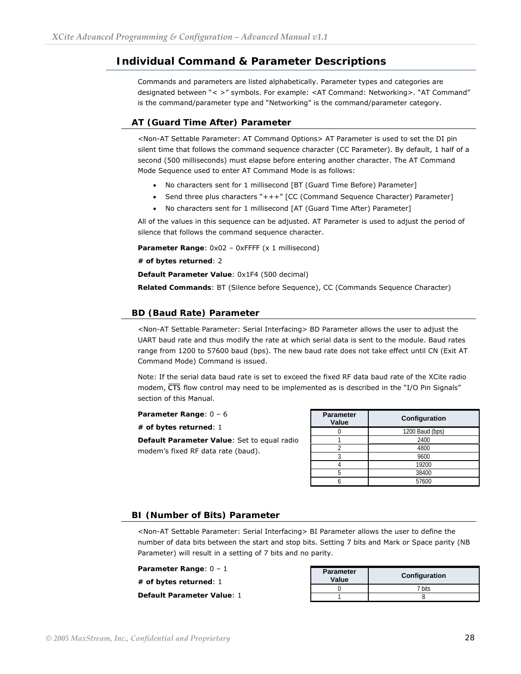## <span id="page-27-0"></span>**Individual Command & Parameter Descriptions**

Commands and parameters are listed alphabetically. Parameter types and categories are designated between "< >" symbols. For example: <AT Command: Networking>. "AT Command" is the command/parameter type and "Networking" is the command/parameter category.

#### **AT (Guard Time After) Parameter**

<Non-AT Settable Parameter: AT Command Options> AT Parameter is used to set the DI pin silent time that follows the command sequence character (CC Parameter). By default, 1 half of a second (500 milliseconds) must elapse before entering another character. The AT Command Mode Sequence used to enter AT Command Mode is as follows:

- No characters sent for 1 millisecond [BT (Guard Time Before) Parameter]
- Send three plus characters "+++" [CC (Command Sequence Character) Parameter]
- No characters sent for 1 millisecond [AT (Guard Time After) Parameter]

All of the values in this sequence can be adjusted. AT Parameter is used to adjust the period of silence that follows the command sequence character.

Parameter Range: 0x02 - 0xFFFF (x 1 millisecond)

**# of bytes returned**: 2

**Default Parameter Value**: 0x1F4 (500 decimal)

**Related Commands**: BT (Silence before Sequence), CC (Commands Sequence Character)

#### **BD (Baud Rate) Parameter**

<Non-AT Settable Parameter: Serial Interfacing> BD Parameter allows the user to adjust the UART baud rate and thus modify the rate at which serial data is sent to the module. Baud rates range from 1200 to 57600 baud (bps). The new baud rate does not take effect until CN (Exit AT Command Mode) Command is issued.

Note: If the serial data baud rate is set to exceed the fixed RF data baud rate of the XCite radio modem,  $\overline{\text{CTS}}$  flow control may need to be implemented as is described in the "I/O Pin Signals" section of this Manual.

**Parameter Range**: 0 – 6

**# of bytes returned**: 1

**Default Parameter Value**: Set to equal radio modem's fixed RF data rate (baud).

| <b>Parameter</b><br>Value | Configuration   |
|---------------------------|-----------------|
|                           | 1200 Baud (bps) |
|                           | 2400            |
|                           | 4800            |
| Ç                         | 9600            |
|                           | 19200           |
|                           | 38400           |
|                           | 57600           |

#### **BI (Number of Bits) Parameter**

<Non-AT Settable Parameter: Serial Interfacing> BI Parameter allows the user to define the number of data bits between the start and stop bits. Setting 7 bits and Mark or Space parity (NB Parameter) will result in a setting of 7 bits and no parity.

| Parameter Range: 0 – 1<br># of bytes returned: 1 | <b>Parameter</b><br>Value | <b>Configuration</b> |
|--------------------------------------------------|---------------------------|----------------------|
|                                                  |                           | 7 bits               |
| <b>Default Parameter Value: 1</b>                |                           |                      |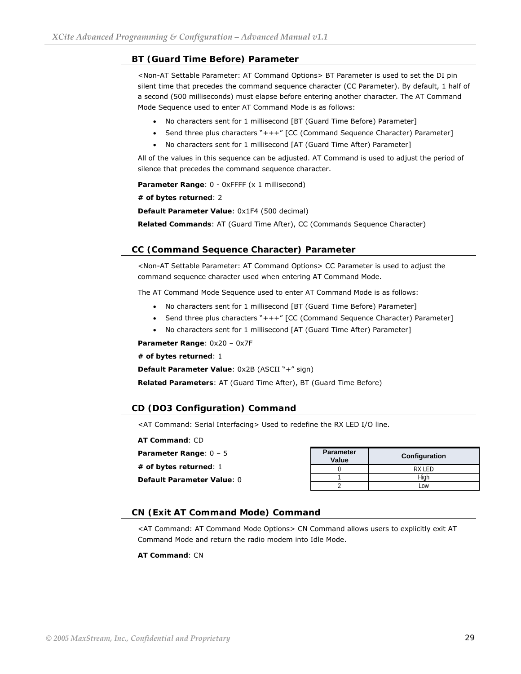#### **BT (Guard Time Before) Parameter**

<Non-AT Settable Parameter: AT Command Options> BT Parameter is used to set the DI pin silent time that precedes the command sequence character (CC Parameter). By default, 1 half of a second (500 milliseconds) must elapse before entering another character. The AT Command Mode Sequence used to enter AT Command Mode is as follows:

- No characters sent for 1 millisecond [BT (Guard Time Before) Parameter]
- Send three plus characters "+++" [CC (Command Sequence Character) Parameter]
- No characters sent for 1 millisecond [AT (Guard Time After) Parameter]

All of the values in this sequence can be adjusted. AT Command is used to adjust the period of silence that precedes the command sequence character.

Parameter Range: 0 - 0xFFFF (x 1 millisecond)

**# of bytes returned**: 2

**Default Parameter Value**: 0x1F4 (500 decimal)

**Related Commands**: AT (Guard Time After), CC (Commands Sequence Character)

#### **CC (Command Sequence Character) Parameter**

<Non-AT Settable Parameter: AT Command Options> CC Parameter is used to adjust the command sequence character used when entering AT Command Mode.

The AT Command Mode Sequence used to enter AT Command Mode is as follows:

- No characters sent for 1 millisecond [BT (Guard Time Before) Parameter]
- Send three plus characters "+++" [CC (Command Sequence Character) Parameter]
- No characters sent for 1 millisecond [AT (Guard Time After) Parameter]

**Parameter Range**: 0x20 – 0x7F

**# of bytes returned**: 1

**Default Parameter Value**: 0x2B (ASCII "+" sign)

**Related Parameters**: AT (Guard Time After), BT (Guard Time Before)

#### **CD (DO3 Configuration) Command**

<AT Command: Serial Interfacing> Used to redefine the RX LED I/O line.

**AT Command**: CD **Parameter Value Configuration**  0 RX LED 1 High 2 Low **Parameter Range**: 0 – 5 **# of bytes returned**: 1 **Default Parameter Value**: 0

#### **CN (Exit AT Command Mode) Command**

<AT Command: AT Command Mode Options> CN Command allows users to explicitly exit AT Command Mode and return the radio modem into Idle Mode.

**AT Command**: CN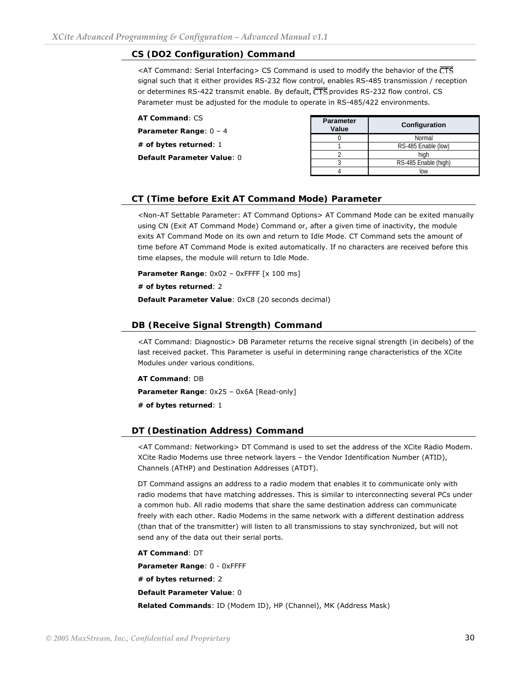#### **CS (DO2 Configuration) Command**

<AT Command: Serial Interfacing> CS Command is used to modify the behavior of the CTS signal such that it either provides RS-232 flow control, enables RS-485 transmission / reception or determines RS-422 transmit enable. By default, CTS provides RS-232 flow control. CS Parameter must be adjusted for the module to operate in RS-485/422 environments.

| <b>AT Command: CS</b><br>Parameter Range: $0 - 4$ | <b>Parameter</b><br>Value | Configuration        |
|---------------------------------------------------|---------------------------|----------------------|
|                                                   |                           | Normal               |
| # of bytes returned: $1$                          |                           | RS-485 Enable (low)  |
| Default Parameter Value: 0                        |                           | hiah                 |
|                                                   |                           | RS-485 Enable (high) |
|                                                   |                           | low                  |

#### **CT (Time before Exit AT Command Mode) Parameter**

<Non-AT Settable Parameter: AT Command Options> AT Command Mode can be exited manually using CN (Exit AT Command Mode) Command or, after a given time of inactivity, the module exits AT Command Mode on its own and return to Idle Mode. CT Command sets the amount of time before AT Command Mode is exited automatically. If no characters are received before this time elapses, the module will return to Idle Mode.

**Parameter Range**: 0x02 – 0xFFFF [x 100 ms]

**# of bytes returned**: 2

**Default Parameter Value**: 0xC8 (20 seconds decimal)

#### **DB (Receive Signal Strength) Command**

<AT Command: Diagnostic> DB Parameter returns the receive signal strength (in decibels) of the last received packet. This Parameter is useful in determining range characteristics of the XCite Modules under various conditions.

**AT Command**: DB

**Parameter Range**: 0x25 – 0x6A [Read-only]

**# of bytes returned**: 1

#### **DT (Destination Address) Command**

<AT Command: Networking> DT Command is used to set the address of the XCite Radio Modem. XCite Radio Modems use three network layers – the Vendor Identification Number (ATID), Channels (ATHP) and Destination Addresses (ATDT).

DT Command assigns an address to a radio modem that enables it to communicate only with radio modems that have matching addresses. This is similar to interconnecting several PCs under a common hub. All radio modems that share the same destination address can communicate freely with each other. Radio Modems in the same network with a different destination address (than that of the transmitter) will listen to all transmissions to stay synchronized, but will not send any of the data out their serial ports.

**AT Command**: DT

**Parameter Range**: 0 - 0xFFFF

**# of bytes returned**: 2

**Default Parameter Value**: 0

**Related Commands**: ID (Modem ID), HP (Channel), MK (Address Mask)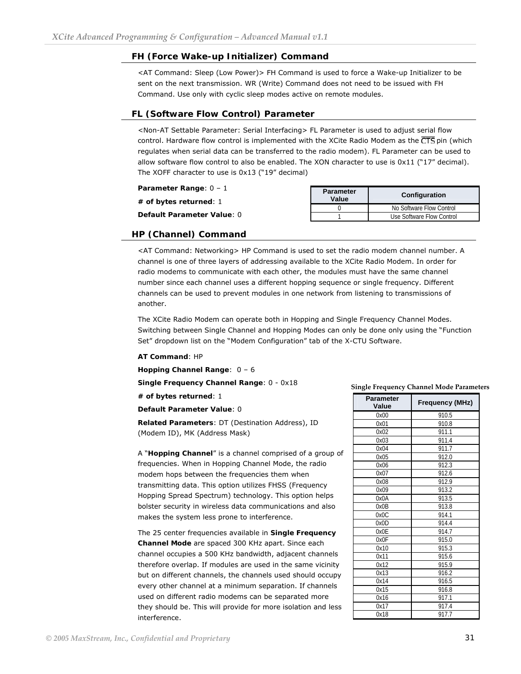#### **FH (Force Wake-up Initializer) Command**

<AT Command: Sleep (Low Power)> FH Command is used to force a Wake-up Initializer to be sent on the next transmission. WR (Write) Command does not need to be issued with FH Command. Use only with cyclic sleep modes active on remote modules.

#### **FL (Software Flow Control) Parameter**

<Non-AT Settable Parameter: Serial Interfacing> FL Parameter is used to adjust serial flow control. Hardware flow control is implemented with the XCite Radio Modem as the  $\overline{\text{CTS}}$  pin (which regulates when serial data can be transferred to the radio modem). FL Parameter can be used to allow software flow control to also be enabled. The XON character to use is  $0 \times 11$  ("17" decimal). The XOFF character to use is 0x13 ("19" decimal)

| Parameter Range: 0 - 1<br>$\#$ of bytes returned: $1$ | <b>Parameter</b><br>Value | <b>Configuration</b>      |
|-------------------------------------------------------|---------------------------|---------------------------|
|                                                       |                           | No Software Flow Control  |
| <b>Default Parameter Value: 0</b>                     |                           | Use Software Flow Control |

#### **HP (Channel) Command**

<AT Command: Networking> HP Command is used to set the radio modem channel number. A channel is one of three layers of addressing available to the XCite Radio Modem. In order for radio modems to communicate with each other, the modules must have the same channel number since each channel uses a different hopping sequence or single frequency. Different channels can be used to prevent modules in one network from listening to transmissions of another.

The XCite Radio Modem can operate both in Hopping and Single Frequency Channel Modes. Switching between Single Channel and Hopping Modes can only be done only using the "Function Set" dropdown list on the "Modem Configuration" tab of the X-CTU Software.

#### **AT Command**: HP

**Hopping Channel Range**: 0 – 6

**Single Frequency Channel Range**: 0 - 0x18

**# of bytes returned**: 1

**Default Parameter Value**: 0

**Related Parameters**: DT (Destination Address), ID (Modem ID), MK (Address Mask)

A "**Hopping Channel**" is a channel comprised of a group of frequencies. When in Hopping Channel Mode, the radio modem hops between the frequencies them when transmitting data. This option utilizes FHSS (Frequency Hopping Spread Spectrum) technology. This option helps bolster security in wireless data communications and also makes the system less prone to interference.

The 25 center frequencies available in **Single Frequency Channel Mode** are spaced 300 KHz apart. Since each channel occupies a 500 KHz bandwidth, adjacent channels therefore overlap. If modules are used in the same vicinity but on different channels, the channels used should occupy every other channel at a minimum separation. If channels used on different radio modems can be separated more they should be. This will provide for more isolation and less interference.

#### **Single Frequency Channel Mode Parameters**

| <b>Parameter</b><br>Value | <b>Frequency (MHz)</b> |
|---------------------------|------------------------|
| 0x00                      | 910.5                  |
| 0x01                      | 910.8                  |
| 0x02                      | 911.1                  |
| 0x03                      | 911.4                  |
| 0x04                      | 911.7                  |
| 0x05                      | 912.0                  |
| 0x06                      | 912.3                  |
| 0x07                      | 912.6                  |
| 0x08                      | 912.9                  |
| 0x09                      | 913.2                  |
| 0x0A                      | 913.5                  |
| 0x0B                      | 913.8                  |
| 0x0C                      | 914.1                  |
| 0x0D                      | 914.4                  |
| 0x0E                      | 914.7                  |
| 0x0F                      | 915.0                  |
| 0x10                      | 915.3                  |
| 0x11                      | 915.6                  |
| 0x12                      | 915.9                  |
| 0x13                      | 916.2                  |
| 0x14                      | 916.5                  |
| 0x15                      | 916.8                  |
| 0x16                      | 917.1                  |
| 0x17                      | 917.4                  |
| 0x18                      | 917.7                  |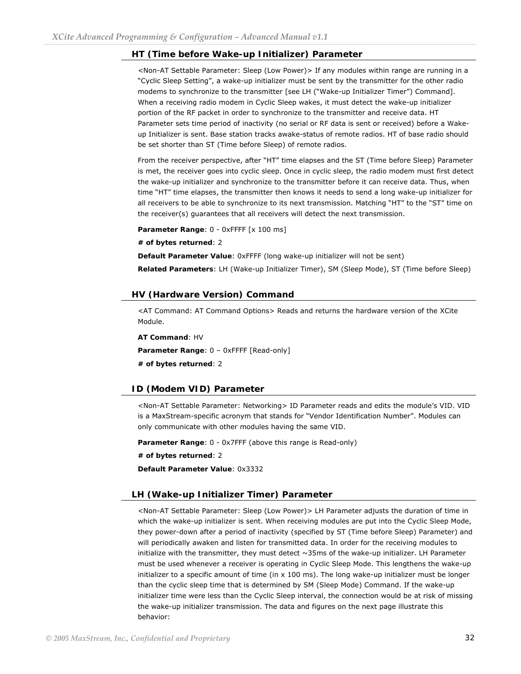#### **HT (Time before Wake-up Initializer) Parameter**

<Non-AT Settable Parameter: Sleep (Low Power)> If any modules within range are running in a "Cyclic Sleep Setting", a wake-up initializer must be sent by the transmitter for the other radio modems to synchronize to the transmitter [see LH ("Wake-up Initializer Timer") Command]. When a receiving radio modem in Cyclic Sleep wakes, it must detect the wake-up initializer portion of the RF packet in order to synchronize to the transmitter and receive data. HT Parameter sets time period of inactivity (no serial or RF data is sent or received) before a Wakeup Initializer is sent. Base station tracks awake-status of remote radios. HT of base radio should be set shorter than ST (Time before Sleep) of remote radios.

From the receiver perspective, after "HT" time elapses and the ST (Time before Sleep) Parameter is met, the receiver goes into cyclic sleep. Once in cyclic sleep, the radio modem must first detect the wake-up initializer and synchronize to the transmitter before it can receive data. Thus, when time "HT" time elapses, the transmitter then knows it needs to send a long wake-up initializer for all receivers to be able to synchronize to its next transmission. Matching "HT" to the "ST" time on the receiver(s) guarantees that all receivers will detect the next transmission.

Parameter Range: 0 - 0xFFFF [x 100 ms]

**# of bytes returned**: 2

**Default Parameter Value**: 0xFFFF (long wake-up initializer will not be sent)

**Related Parameters**: LH (Wake-up Initializer Timer), SM (Sleep Mode), ST (Time before Sleep)

#### **HV (Hardware Version) Command**

<AT Command: AT Command Options> Reads and returns the hardware version of the XCite Module.

**AT Command**: HV **Parameter Range**: 0 – 0xFFFF [Read-only] **# of bytes returned**: 2

#### **ID (Modem VID) Parameter**

<Non-AT Settable Parameter: Networking> ID Parameter reads and edits the module's VID. VID is a MaxStream-specific acronym that stands for "Vendor Identification Number". Modules can only communicate with other modules having the same VID.

**Parameter Range**: 0 - 0x7FFF (above this range is Read-only)

**# of bytes returned**: 2

**Default Parameter Value**: 0x3332

#### **LH (Wake-up Initializer Timer) Parameter**

<Non-AT Settable Parameter: Sleep (Low Power)> LH Parameter adjusts the duration of time in which the wake-up initializer is sent. When receiving modules are put into the Cyclic Sleep Mode, they power-down after a period of inactivity (specified by ST (Time before Sleep) Parameter) and will periodically awaken and listen for transmitted data. In order for the receiving modules to initialize with the transmitter, they must detect  $\sim$ 35ms of the wake-up initializer. LH Parameter must be used whenever a receiver is operating in Cyclic Sleep Mode. This lengthens the wake-up initializer to a specific amount of time (in  $x$  100 ms). The long wake-up initializer must be longer than the cyclic sleep time that is determined by SM (Sleep Mode) Command. If the wake-up initializer time were less than the Cyclic Sleep interval, the connection would be at risk of missing the wake-up initializer transmission. The data and figures on the next page illustrate this behavior: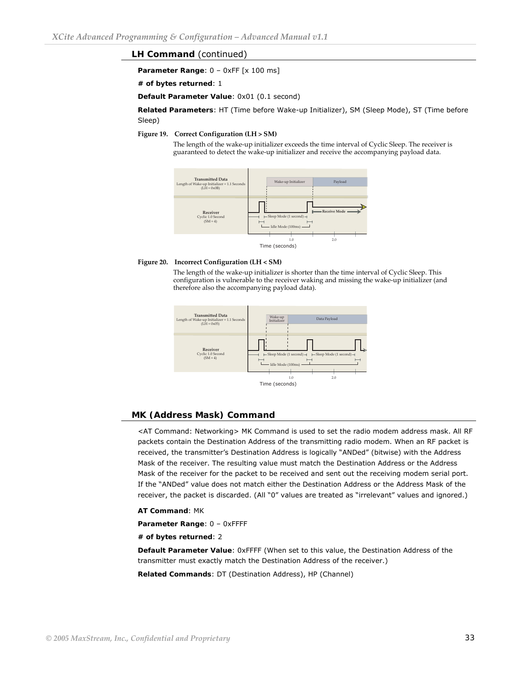#### **LH Command** (continued)

**Parameter Range:**  $0 - 0x$ **FF** [x 100 ms]

**# of bytes returned**: 1

**Default Parameter Value**: 0x01 (0.1 second)

**Related Parameters**: HT (Time before Wake-up Initializer), SM (Sleep Mode), ST (Time before Sleep)

#### **Figure 19. Correct Configuration (LH > SM)**

The length of the wake-up initializer exceeds the time interval of Cyclic Sleep. The receiver is guaranteed to detect the wake-up initializer and receive the accompanying payload data.



#### **Figure 20. Incorrect Configuration (LH < SM)**

The length of the wake-up initializer is shorter than the time interval of Cyclic Sleep. This configuration is vulnerable to the receiver waking and missing the wake-up initializer (and therefore also the accompanying payload data).



#### **MK (Address Mask) Command**

<AT Command: Networking> MK Command is used to set the radio modem address mask. All RF packets contain the Destination Address of the transmitting radio modem. When an RF packet is received, the transmitter's Destination Address is logically "ANDed" (bitwise) with the Address Mask of the receiver. The resulting value must match the Destination Address or the Address Mask of the receiver for the packet to be received and sent out the receiving modem serial port. If the "ANDed" value does not match either the Destination Address or the Address Mask of the receiver, the packet is discarded. (All "0" values are treated as "irrelevant" values and ignored.)

#### **AT Command**: MK

**Parameter Range**: 0 – 0xFFFF

**# of bytes returned**: 2

**Default Parameter Value**: 0xFFFF (When set to this value, the Destination Address of the transmitter must exactly match the Destination Address of the receiver.) **Related Commands**: DT (Destination Address), HP (Channel)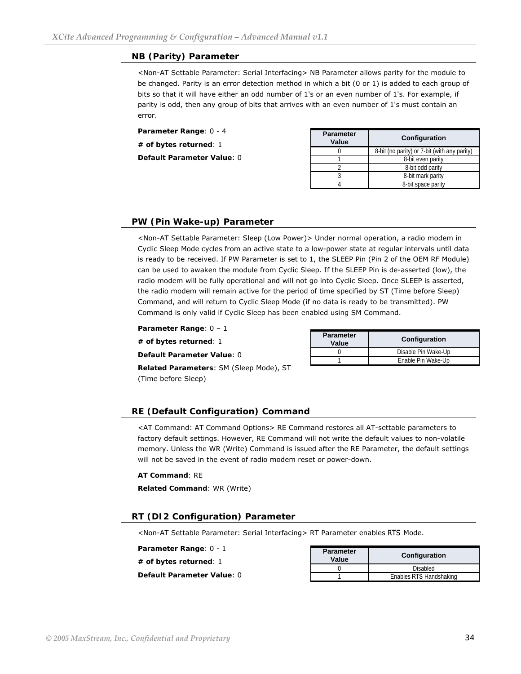#### **NB (Parity) Parameter**

<Non-AT Settable Parameter: Serial Interfacing> NB Parameter allows parity for the module to be changed. Parity is an error detection method in which a bit (0 or 1) is added to each group of bits so that it will have either an odd number of 1's or an even number of 1's. For example, if parity is odd, then any group of bits that arrives with an even number of 1's must contain an error.

| Parameter Range: 0 - 4<br># of bytes returned: 1 | <b>Parameter</b><br><b>Configuration</b><br>Value |                                              |
|--------------------------------------------------|---------------------------------------------------|----------------------------------------------|
|                                                  |                                                   | 8-bit (no parity) or 7-bit (with any parity) |
| <b>Default Parameter Value: 0</b>                |                                                   | 8-bit even parity                            |
|                                                  |                                                   | 8-bit odd parity                             |
|                                                  |                                                   | 8-bit mark parity                            |

#### **PW (Pin Wake-up) Parameter**

<Non-AT Settable Parameter: Sleep (Low Power)> Under normal operation, a radio modem in Cyclic Sleep Mode cycles from an active state to a low-power state at regular intervals until data is ready to be received. If PW Parameter is set to 1, the SLEEP Pin (Pin 2 of the OEM RF Module) can be used to awaken the module from Cyclic Sleep. If the SLEEP Pin is de-asserted (low), the radio modem will be fully operational and will not go into Cyclic Sleep. Once SLEEP is asserted, the radio modem will remain active for the period of time specified by ST (Time before Sleep) Command, and will return to Cyclic Sleep Mode (if no data is ready to be transmitted). PW Command is only valid if Cyclic Sleep has been enabled using SM Command.

**Parameter Range**: 0 – 1

**# of bytes returned**: 1

**Default Parameter Value**: 0

**Related Parameters**: SM (Sleep Mode), ST (Time before Sleep)

| <b>Parameter</b><br>Value | Configuration       |  |
|---------------------------|---------------------|--|
|                           | Disable Pin Wake-Up |  |
|                           | Enable Pin Wake-Up  |  |

4 8-bit space parity

#### **RE (Default Configuration) Command**

<AT Command: AT Command Options> RE Command restores all AT-settable parameters to factory default settings. However, RE Command will not write the default values to non-volatile memory. Unless the WR (Write) Command is issued after the RE Parameter, the default settings will not be saved in the event of radio modem reset or power-down.

#### **AT Command**: RE

**Related Command**: WR (Write)

#### **RT (DI2 Configuration) Parameter**

<Non-AT Settable Parameter: Serial Interfacing> RT Parameter enables RTS Mode.

**Parameter Range**: 0 - 1 **# of bytes returned**: 1 **Default Parameter Value**: 0

| <b>Parameter</b><br>Value | Configuration           |  |
|---------------------------|-------------------------|--|
|                           | Disabled                |  |
|                           | Enables RTS Handshaking |  |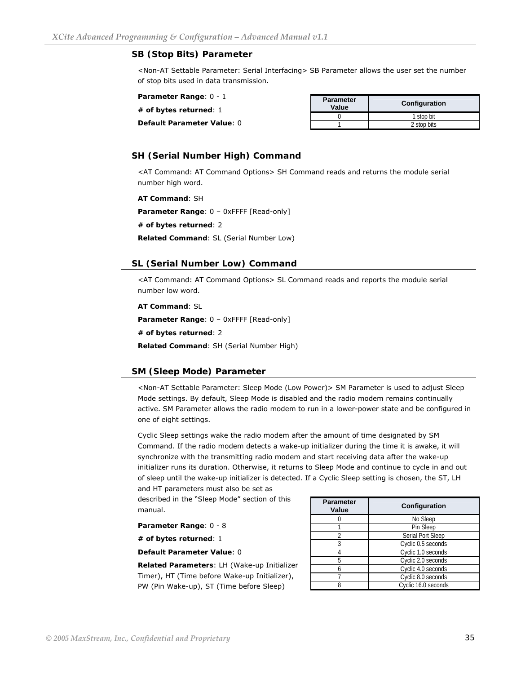#### **SB (Stop Bits) Parameter**

<Non-AT Settable Parameter: Serial Interfacing> SB Parameter allows the user set the number of stop bits used in data transmission.

**Parameter Range**: 0 - 1

**# of bytes returned**: 1

**Default Parameter Value**: 0

| <b>Parameter</b><br>Value | Configuration |  |
|---------------------------|---------------|--|
|                           | 1 stop bit    |  |
|                           | 2 stop bits   |  |
|                           |               |  |

#### **SH (Serial Number High) Command**

<AT Command: AT Command Options> SH Command reads and returns the module serial number high word.

**AT Command**: SH

**Parameter Range**: 0 – 0xFFFF [Read-only]

**# of bytes returned**: 2

**Related Command**: SL (Serial Number Low)

#### **SL (Serial Number Low) Command**

<AT Command: AT Command Options> SL Command reads and reports the module serial number low word.

**AT Command**: SL

**Parameter Range**: 0 – 0xFFFF [Read-only]

**# of bytes returned**: 2

**Related Command**: SH (Serial Number High)

#### **SM (Sleep Mode) Parameter**

<Non-AT Settable Parameter: Sleep Mode (Low Power)> SM Parameter is used to adjust Sleep Mode settings. By default, Sleep Mode is disabled and the radio modem remains continually active. SM Parameter allows the radio modem to run in a lower-power state and be configured in one of eight settings.

Cyclic Sleep settings wake the radio modem after the amount of time designated by SM Command. If the radio modem detects a wake-up initializer during the time it is awake, it will synchronize with the transmitting radio modem and start receiving data after the wake-up initializer runs its duration. Otherwise, it returns to Sleep Mode and continue to cycle in and out of sleep until the wake-up initializer is detected. If a Cyclic Sleep setting is chosen, the ST, LH and HT parameters must also be set as

described in the "Sleep Mode" section of this manual.

**Parameter Range**: 0 - 8

**# of bytes returned**: 1

**Default Parameter Value**: 0

**Related Parameters**: LH (Wake-up Initializer Timer), HT (Time before Wake-up Initializer), PW (Pin Wake-up), ST (Time before Sleep)

| <b>Parameter</b><br>Value | Configuration            |  |
|---------------------------|--------------------------|--|
|                           | No Sleep                 |  |
|                           | Pin Sleep                |  |
|                           | <b>Serial Port Sleep</b> |  |
|                           | Cyclic 0.5 seconds       |  |
|                           | Cyclic 1.0 seconds       |  |
| 5                         | Cyclic 2.0 seconds       |  |
|                           | Cyclic 4.0 seconds       |  |
|                           | Cyclic 8.0 seconds       |  |
|                           | Cyclic 16.0 seconds      |  |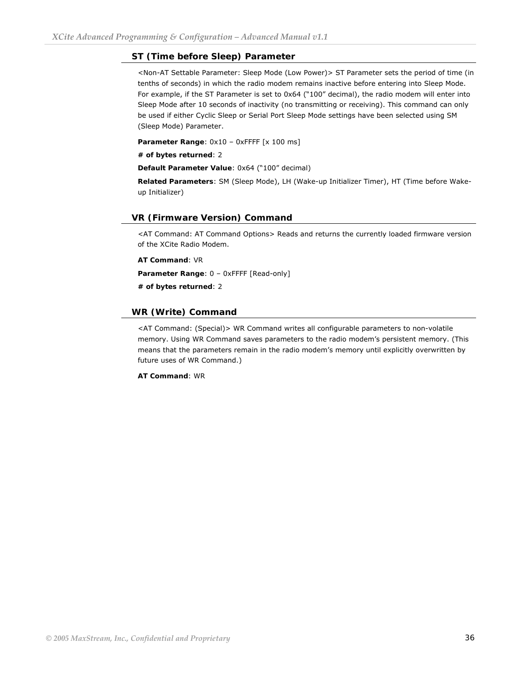#### **ST (Time before Sleep) Parameter**

<Non-AT Settable Parameter: Sleep Mode (Low Power)> ST Parameter sets the period of time (in tenths of seconds) in which the radio modem remains inactive before entering into Sleep Mode. For example, if the ST Parameter is set to 0x64 ("100" decimal), the radio modem will enter into Sleep Mode after 10 seconds of inactivity (no transmitting or receiving). This command can only be used if either Cyclic Sleep or Serial Port Sleep Mode settings have been selected using SM (Sleep Mode) Parameter.

Parameter Range:  $0x10 - 0x$ FFFF [x 100 ms]

**# of bytes returned**: 2

**Default Parameter Value**: 0x64 ("100" decimal)

**Related Parameters**: SM (Sleep Mode), LH (Wake-up Initializer Timer), HT (Time before Wakeup Initializer)

#### **VR (Firmware Version) Command**

<AT Command: AT Command Options> Reads and returns the currently loaded firmware version of the XCite Radio Modem.

**AT Command**: VR

**Parameter Range**: 0 – 0xFFFF [Read-only]

**# of bytes returned**: 2

#### **WR (Write) Command**

<AT Command: (Special)> WR Command writes all configurable parameters to non-volatile memory. Using WR Command saves parameters to the radio modem's persistent memory. (This means that the parameters remain in the radio modem's memory until explicitly overwritten by future uses of WR Command.)

**AT Command**: WR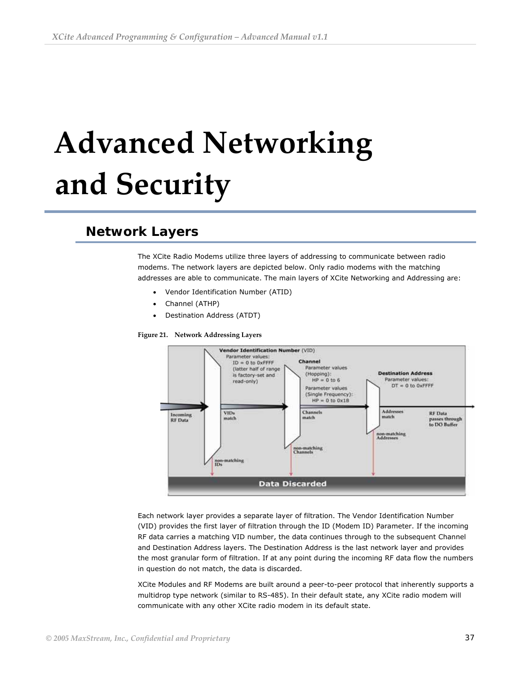# <span id="page-36-0"></span> **Advanced Networking and Security**

# **Network Layers**

The XCite Radio Modems utilize three layers of addressing to communicate between radio modems. The network layers are depicted below. Only radio modems with the matching addresses are able to communicate. The main layers of XCite Networking and Addressing are:

- Vendor Identification Number (ATID)
- Channel (ATHP)
- Destination Address (ATDT)

**Figure 21. Network Addressing Layers** 



Each network layer provides a separate layer of filtration. The Vendor Identification Number (VID) provides the first layer of filtration through the ID (Modem ID) Parameter. If the incoming RF data carries a matching VID number, the data continues through to the subsequent Channel and Destination Address layers. The Destination Address is the last network layer and provides the most granular form of filtration. If at any point during the incoming RF data flow the numbers in question do not match, the data is discarded.

XCite Modules and RF Modems are built around a peer-to-peer protocol that inherently supports a multidrop type network (similar to RS-485). In their default state, any XCite radio modem will communicate with any other XCite radio modem in its default state.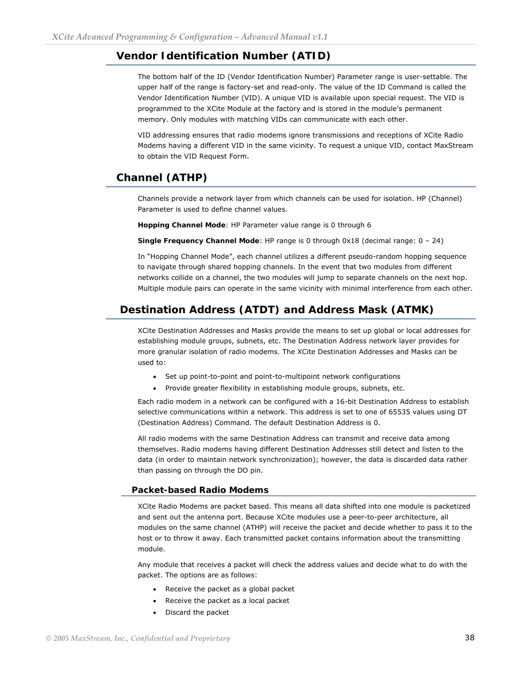## <span id="page-37-0"></span>**Vendor Identification Number (ATID)**

The bottom half of the ID (Vendor Identification Number) Parameter range is user-settable. The upper half of the range is factory-set and read-only. The value of the ID Command is called the Vendor Identification Number (VID). A unique VID is available upon special request. The VID is programmed to the XCite Module at the factory and is stored in the module's permanent memory. Only modules with matching VIDs can communicate with each other.

VID addressing ensures that radio modems ignore transmissions and receptions of XCite Radio Modems having a different VID in the same vicinity. To request a unique VID, contact MaxStream to obtain the VID Request Form.

# **Channel (ATHP)**

Channels provide a network layer from which channels can be used for isolation. HP (Channel) Parameter is used to define channel values.

**Hopping Channel Mode**: HP Parameter value range is 0 through 6

**Single Frequency Channel Mode**: HP range is 0 through 0x18 (decimal range: 0 – 24)

In "Hopping Channel Mode", each channel utilizes a different pseudo-random hopping sequence to navigate through shared hopping channels. In the event that two modules from different networks collide on a channel, the two modules will jump to separate channels on the next hop. Multiple module pairs can operate in the same vicinity with minimal interference from each other.

# **Destination Address (ATDT) and Address Mask (ATMK)**

XCite Destination Addresses and Masks provide the means to set up global or local addresses for establishing module groups, subnets, etc. The Destination Address network layer provides for more granular isolation of radio modems. The XCite Destination Addresses and Masks can be used to:

- Set up point-to-point and point-to-multipoint network configurations
- Provide greater flexibility in establishing module groups, subnets, etc.

Each radio modem in a network can be configured with a 16-bit Destination Address to establish selective communications within a network. This address is set to one of 65535 values using DT (Destination Address) Command. The default Destination Address is 0.

All radio modems with the same Destination Address can transmit and receive data among themselves. Radio modems having different Destination Addresses still detect and listen to the data (in order to maintain network synchronization); however, the data is discarded data rather than passing on through the DO pin.

#### **Packet-based Radio Modems**

XCite Radio Modems are packet based. This means all data shifted into one module is packetized and sent out the antenna port. Because XCite modules use a peer-to-peer architecture, all modules on the same channel (ATHP) will receive the packet and decide whether to pass it to the host or to throw it away. Each transmitted packet contains information about the transmitting module.

Any module that receives a packet will check the address values and decide what to do with the packet. The options are as follows:

- Receive the packet as a global packet
- Receive the packet as a local packet
- Discard the packet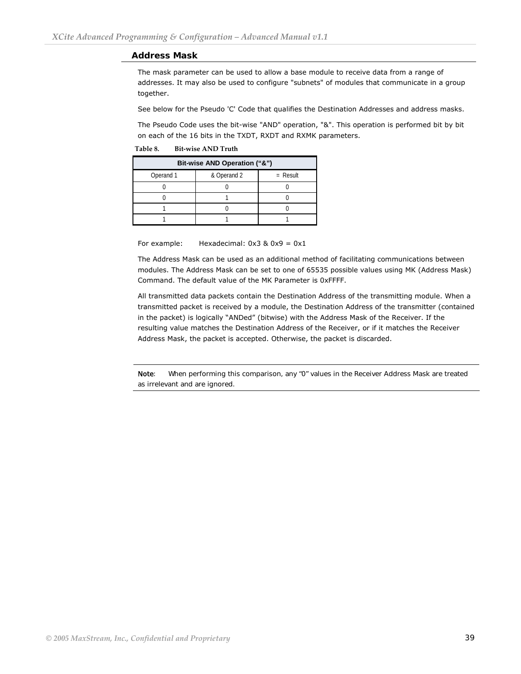#### **Address Mask**

The mask parameter can be used to allow a base module to receive data from a range of addresses. It may also be used to configure "subnets" of modules that communicate in a group together.

See below for the Pseudo 'C' Code that qualifies the Destination Addresses and address masks.

The Pseudo Code uses the bit-wise "AND" operation, "&". This operation is performed bit by bit on each of the 16 bits in the TXDT, RXDT and RXMK parameters.

**Table 8. Bit‐wise AND Truth** 

| Bit-wise AND Operation ("&") |             |            |  |
|------------------------------|-------------|------------|--|
| Operand 1                    | & Operand 2 | $=$ Result |  |
|                              |             |            |  |
|                              |             |            |  |
|                              |             |            |  |
|                              |             |            |  |

For example: Hexadecimal:  $0x3 & 0x9 = 0x1$ 

The Address Mask can be used as an additional method of facilitating communications between modules. The Address Mask can be set to one of 65535 possible values using MK (Address Mask) Command. The default value of the MK Parameter is 0xFFFF.

All transmitted data packets contain the Destination Address of the transmitting module. When a transmitted packet is received by a module, the Destination Address of the transmitter (contained in the packet) is logically "ANDed" (bitwise) with the Address Mask of the Receiver. If the resulting value matches the Destination Address of the Receiver, or if it matches the Receiver Address Mask, the packet is accepted. Otherwise, the packet is discarded.

Note: When performing this comparison, any "0" values in the Receiver Address Mask are treated as irrelevant and are ignored.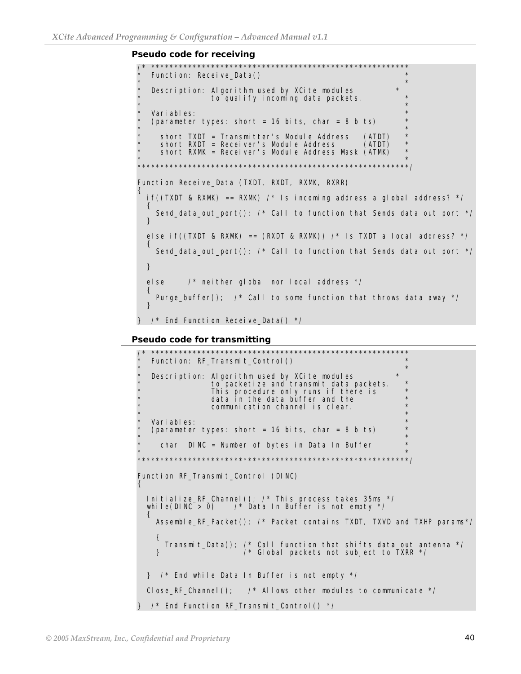**Pseudo code for receiving** 

```
/* ******************************************************** 
  Function: Receive_Data()
\star \star* Description: Algorithm used by XCite modules * 
             to qualify incoming data packets.
\star \star* Variables: * 
* (parameter types: short = 16 bits, char = 8 bits) *\star \star* short TXDT = Transmitter's Module Address (ATDT) ** short RXDT = Receiver's Module Address (ATDT) ** short RXMK = Receiver's Module Address Mask (ATMK) *\star \star***********************************************************/ 
Function Receive_Data (TXDT, RXDT, RXMK, RXRR) 
{ 
 if((TXDT & RXMK) == RXMK) /* Is incoming address a global address? */
  { 
   Send data out port(); /* Call to function that Sends data out port */
  } 
 else if((TXDT & RXMK) == (RXDT & RXMK)) /* Is TXDT a local address? */
\{Send data out port(); /* Call to function that Sends data out port */
  } 
  else /* neither global nor local address */ 
\{Purge buffer(); /* Call to some function that throws data away */ } 
\} /* End Function Receive Data() */
```

```
Pseudo code for transmitting
```

```
/* ******************************************************** 
  Function: RF_Transmit_Control()
\star \star* Description: Algorithm used by XCite modules * 
* to packetize and transmit data packets. * 
* This procedure only runs if there is ** a data in the data buffer and the \starcommunication channel is clear.
\star \star* Variables: * 
* (parameter types: short = 16 bits, char = 8 bits) *\star \starchar DINC = Number of bytes in Data In Buffer
\star \star***********************************************************/ 
Function RF_Transmit_Control (DINC) 
{ 
 Initialize_RF_Channel(); /* This process takes 35ms */ 
while(DINC > 0) /* Data In Buffer is not empty */
\{ Assemble_RF_Packet(); /* Packet contains TXDT, TXVD and TXHP params*/ 
    { 
     Transmit_Data(); /* Call function that shifts data out antenna */ 
                   \frac{1}{2} Global packets not subject to TXRR \frac{*}{2} } /* End while Data In Buffer is not empty */ 
 Close_RF_Channel(); \prime^* Allows other modules to communicate \prime/
} /* End Function RF_Transmit_Control() */
```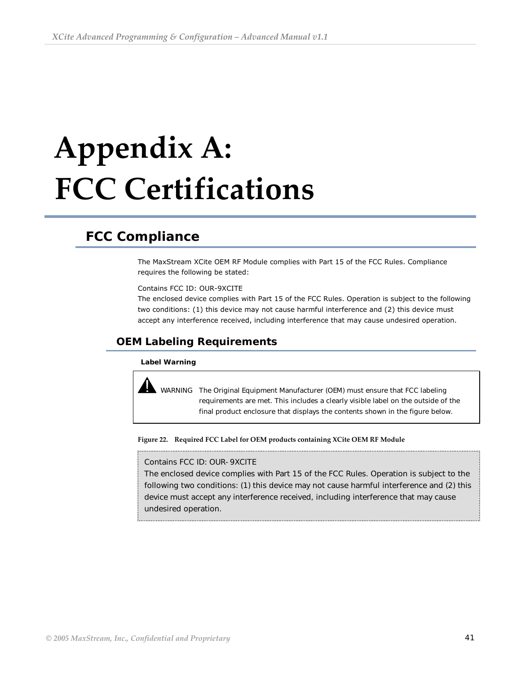# <span id="page-40-0"></span> **Appendix A: FCC Certifications**

# **FCC Compliance**

The MaxStream XCite OEM RF Module complies with Part 15 of the FCC Rules. Compliance requires the following be stated:

Contains FCC ID: OUR-9XCITE

The enclosed device complies with Part 15 of the FCC Rules. Operation is subject to the following two conditions: (1) this device may not cause harmful interference and (2) this device must accept any interference received, including interference that may cause undesired operation.

## **OEM Labeling Requirements**

#### **Label Warning**

 WARNING The Original Equipment Manufacturer (OEM) must ensure that FCC labeling requirements are met. This includes a clearly visible label on the outside of the final product enclosure that displays the contents shown in the figure below.

**Figure 22. Required FCC Label for OEM products containing XCite OEM RF Module**

#### Contains FCC ID: OUR-9XCITE

The enclosed device complies with Part 15 of the FCC Rules. Operation is subject to the following two conditions: (1) this device may not cause harmful interference and (2) this device must accept any interference received, including interference that may cause undesired operation.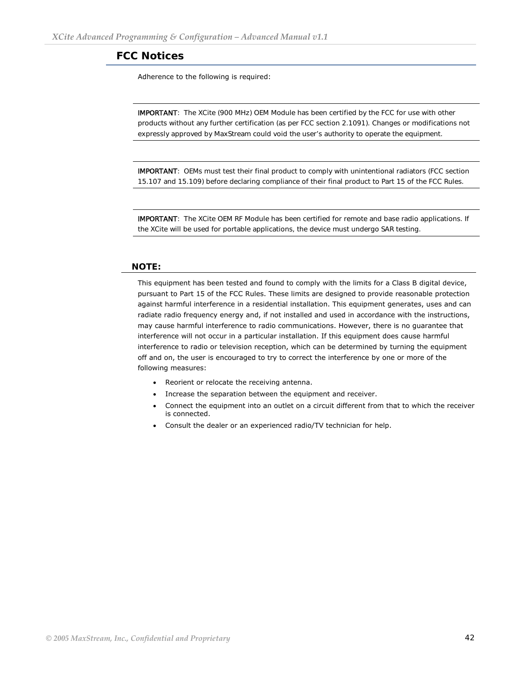## <span id="page-41-0"></span>**FCC Notices**

Adherence to the following is required:

IMPORTANT: The XCite (900 MHz) OEM Module has been certified by the FCC for use with other products without any further certification (as per FCC section 2.1091). Changes or modifications not expressly approved by MaxStream could void the user's authority to operate the equipment.

IMPORTANT: OEMs must test their final product to comply with unintentional radiators (FCC section 15.107 and 15.109) before declaring compliance of their final product to Part 15 of the FCC Rules.

IMPORTANT: The XCite OEM RF Module has been certified for remote and base radio applications. If the XCite will be used for portable applications, the device must undergo SAR testing.

#### **NOTE:**

This equipment has been tested and found to comply with the limits for a Class B digital device, pursuant to Part 15 of the FCC Rules. These limits are designed to provide reasonable protection against harmful interference in a residential installation. This equipment generates, uses and can radiate radio frequency energy and, if not installed and used in accordance with the instructions, may cause harmful interference to radio communications. However, there is no guarantee that interference will not occur in a particular installation. If this equipment does cause harmful interference to radio or television reception, which can be determined by turning the equipment off and on, the user is encouraged to try to correct the interference by one or more of the following measures:

- Reorient or relocate the receiving antenna.
- Increase the separation between the equipment and receiver.
- Connect the equipment into an outlet on a circuit different from that to which the receiver is connected.
- Consult the dealer or an experienced radio/TV technician for help.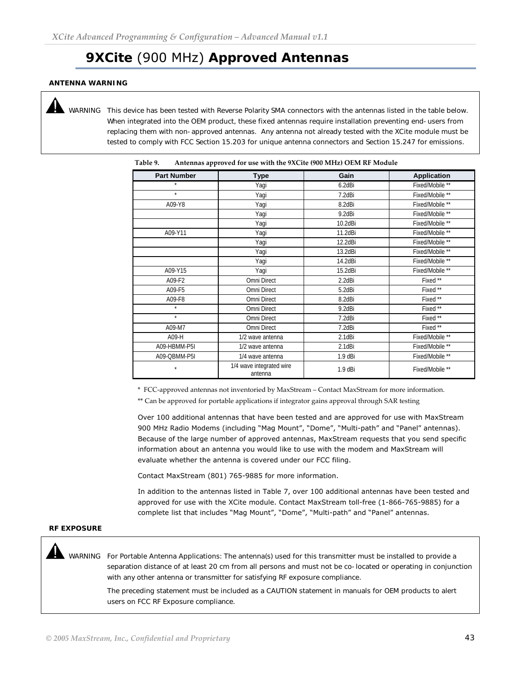# **9XCite** (900 MHz) **Approved Antennas**

#### <span id="page-42-0"></span>**ANTENNA WARNING**

II.

 WARNING This device has been tested with Reverse Polarity SMA connectors with the antennas listed in the table below. When integrated into the OEM product, these fixed antennas require installation preventing end-users from replacing them with non-approved antennas. Any antenna not already tested with the XCite module must be tested to comply with FCC Section 15.203 for unique antenna connectors and Section 15.247 for emissions.

| <b>Part Number</b> | <b>Type</b>                         | Gain      | <b>Application</b> |
|--------------------|-------------------------------------|-----------|--------------------|
| $\star$            | Yagi                                | 6.2dBi    | Fixed/Mobile **    |
| $\star$            | Yagi                                | 7.2dBi    | Fixed/Mobile **    |
| A09-Y8             | Yagi                                | 8.2dBi    | Fixed/Mobile **    |
|                    | Yagi                                | 9.2dBi    | Fixed/Mobile **    |
|                    | Yagi                                | 10.2dBi   | Fixed/Mobile **    |
| A09-Y11            | Yagi                                | 11.2dBi   | Fixed/Mobile **    |
|                    | Yagi                                | 12.2dBi   | Fixed/Mobile **    |
|                    | Yagi                                | 13.2dBi   | Fixed/Mobile **    |
|                    | Yagi                                | 14.2dBi   | Fixed/Mobile **    |
| A09-Y15            | Yagi                                | 15.2dBi   | Fixed/Mobile **    |
| A09-F2             | Omni Direct                         | 2.2dBi    | Fixed**            |
| A09-F5             | Omni Direct                         | 5.2dBi    | Fixed**            |
| A09-F8             | Omni Direct                         | 8.2dBi    | Fixed **           |
| $\star$            | Omni Direct                         | 9.2dBi    | Fixed **           |
| $\star$            | Omni Direct                         | 7.2dBi    | Fixed**            |
| A09-M7             | Omni Direct                         | 7.2dBi    | Fixed **           |
| A09-H              | 1/2 wave antenna                    | 2.1dBi    | Fixed/Mobile **    |
| A09-HBMM-P5I       | 1/2 wave antenna                    | 2.1dBi    | Fixed/Mobile **    |
| A09-QBMM-P5I       | 1/4 wave antenna                    | 1.9 dBi   | Fixed/Mobile **    |
| $\star$            | 1/4 wave integrated wire<br>antenna | $1.9$ dBi | Fixed/Mobile **    |

| Table 9. | Antennas approved for use with the 9XCite (900 MHz) OEM RF Module |
|----------|-------------------------------------------------------------------|
|          |                                                                   |

\* FCC-approved antennas not inventoried by MaxStream – Contact MaxStream for more information.

\*\* Can be approved for portable applications if integrator gains approval through SAR testing

Over 100 additional antennas that have been tested and are approved for use with MaxStream 900 MHz Radio Modems (including "Mag Mount", "Dome", "Multi-path" and "Panel" antennas). Because of the large number of approved antennas, MaxStream requests that you send specific information about an antenna you would like to use with the modem and MaxStream will evaluate whether the antenna is covered under our FCC filing.

Contact MaxStream (801) 765-9885 for more information.

In addition to the antennas listed in Table 7, over 100 additional antennas have been tested and approved for use with the XCite module. Contact MaxStream toll-free (1-866-765-9885) for a complete list that includes "Mag Mount", "Dome", "Multi-path" and "Panel" antennas.

#### **RF EXPOSURE**

 WARNING For Portable Antenna Applications: The antenna(s) used for this transmitter must be installed to provide a separation distance of at least 20 cm from all persons and must not be co-located or operating in conjunction with any other antenna or transmitter for satisfying RF exposure compliance.

The preceding statement must be included as a CAUTION statement in manuals for OEM products to alert users on FCC RF Exposure compliance.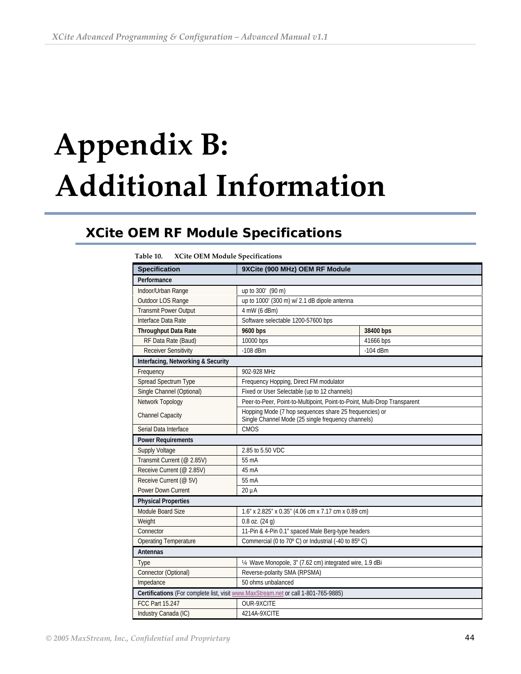# <span id="page-43-0"></span> **Appendix B: Additional Information**

# **XCite OEM RF Module Specifications**

| 1 avit 10.<br>ACHE OEIN MOUULE Specifications                                      |                                                                                                              |            |  |  |  |  |
|------------------------------------------------------------------------------------|--------------------------------------------------------------------------------------------------------------|------------|--|--|--|--|
| <b>Specification</b>                                                               | 9XCite (900 MHz) OEM RF Module                                                                               |            |  |  |  |  |
| Performance                                                                        |                                                                                                              |            |  |  |  |  |
| Indoor/Urban Range                                                                 | up to 300' (90 m)                                                                                            |            |  |  |  |  |
| Outdoor LOS Range                                                                  | up to 1000' (300 m) w/ 2.1 dB dipole antenna                                                                 |            |  |  |  |  |
| <b>Transmit Power Output</b>                                                       | 4 mW (6 dBm)                                                                                                 |            |  |  |  |  |
| Interface Data Rate                                                                | Software selectable 1200-57600 bps                                                                           |            |  |  |  |  |
| <b>Throughput Data Rate</b>                                                        | 9600 bps                                                                                                     | 38400 bps  |  |  |  |  |
| RF Data Rate (Baud)                                                                | 10000 bps                                                                                                    | 41666 bps  |  |  |  |  |
| <b>Receiver Sensitivity</b>                                                        | $-108$ dBm                                                                                                   | $-104$ dBm |  |  |  |  |
| Interfacing, Networking & Security                                                 |                                                                                                              |            |  |  |  |  |
| Frequency                                                                          | 902-928 MHz                                                                                                  |            |  |  |  |  |
| Spread Spectrum Type                                                               | Frequency Hopping, Direct FM modulator                                                                       |            |  |  |  |  |
| Single Channel (Optional)                                                          | Fixed or User Selectable (up to 12 channels)                                                                 |            |  |  |  |  |
| Network Topology                                                                   | Peer-to-Peer, Point-to-Multipoint, Point-to-Point, Multi-Drop Transparent                                    |            |  |  |  |  |
| <b>Channel Capacity</b>                                                            | Hopping Mode (7 hop sequences share 25 frequencies) or<br>Single Channel Mode (25 single frequency channels) |            |  |  |  |  |
| Serial Data Interface                                                              | <b>CMOS</b>                                                                                                  |            |  |  |  |  |
| <b>Power Requirements</b>                                                          |                                                                                                              |            |  |  |  |  |
| <b>Supply Voltage</b>                                                              | 2.85 to 5.50 VDC                                                                                             |            |  |  |  |  |
| Transmit Current (@ 2.85V)                                                         | 55 mA                                                                                                        |            |  |  |  |  |
| Receive Current (@ 2.85V)                                                          | 45 mA                                                                                                        |            |  |  |  |  |
| Receive Current (@ 5V)                                                             | 55 mA                                                                                                        |            |  |  |  |  |
| Power Down Current                                                                 | $20 \mu A$                                                                                                   |            |  |  |  |  |
| <b>Physical Properties</b>                                                         |                                                                                                              |            |  |  |  |  |
| Module Board Size                                                                  | 1.6" x 2.825" x 0.35" (4.06 cm x 7.17 cm x 0.89 cm)                                                          |            |  |  |  |  |
| Weight                                                                             | $0.8$ oz. $(24$ g)                                                                                           |            |  |  |  |  |
| Connector                                                                          | 11-Pin & 4-Pin 0.1" spaced Male Berg-type headers                                                            |            |  |  |  |  |
| <b>Operating Temperature</b>                                                       | Commercial (0 to 70° C) or Industrial (-40 to 85° C)                                                         |            |  |  |  |  |
| Antennas                                                                           |                                                                                                              |            |  |  |  |  |
| Type                                                                               | 14 Wave Monopole, 3" (7.62 cm) integrated wire, 1.9 dBi                                                      |            |  |  |  |  |
| Connector (Optional)                                                               | Reverse-polarity SMA (RPSMA)                                                                                 |            |  |  |  |  |
| Impedance                                                                          | 50 ohms unbalanced                                                                                           |            |  |  |  |  |
| Certifications (For complete list, visit www.MaxStream.net or call 1-801-765-9885) |                                                                                                              |            |  |  |  |  |
| FCC Part 15.247                                                                    | OUR-9XCITE                                                                                                   |            |  |  |  |  |
| Industry Canada (IC)<br>4214A-9XCITE                                               |                                                                                                              |            |  |  |  |  |

**Table 10. XCite OEM Module Specifications**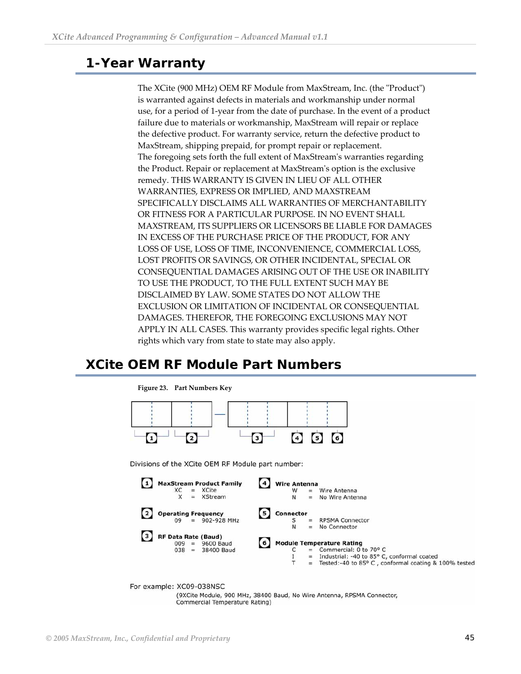# <span id="page-44-0"></span>**1-Year Warranty**

The XCite (900 MHz) OEM RF Module from MaxStream, Inc. (the "Product") is warranted against defects in materials and workmanship under normal use, for a period of 1-year from the date of purchase. In the event of a product failure due to materials or workmanship, MaxStream will repair or replace the defective product. For warranty service, return the defective product to MaxStream, shipping prepaid, for prompt repair or replacement. The foregoing sets forth the full extent of MaxStreamʹs warranties regarding the Product. Repair or replacement at MaxStreamʹs option is the exclusive remedy. THIS WARRANTY IS GIVEN IN LIEU OF ALL OTHER WARRANTIES, EXPRESS OR IMPLIED, AND MAXSTREAM SPECIFICALLY DISCLAIMS ALL WARRANTIES OF MERCHANTABILITY OR FITNESS FOR A PARTICULAR PURPOSE. IN NO EVENT SHALL MAXSTREAM, ITS SUPPLIERS OR LICENSORS BE LIABLE FOR DAMAGES IN EXCESS OF THE PURCHASE PRICE OF THE PRODUCT, FOR ANY LOSS OF USE, LOSS OF TIME, INCONVENIENCE, COMMERCIAL LOSS, LOST PROFITS OR SAVINGS, OR OTHER INCIDENTAL, SPECIAL OR CONSEQUENTIAL DAMAGES ARISING OUT OF THE USE OR INABILITY TO USE THE PRODUCT, TO THE FULL EXTENT SUCH MAY BE DISCLAIMED BY LAW. SOME STATES DO NOT ALLOW THE EXCLUSION OR LIMITATION OF INCIDENTAL OR CONSEQUENTIAL DAMAGES. THEREFOR, THE FOREGOING EXCLUSIONS MAY NOT APPLY IN ALL CASES. This warranty provides specific legal rights. Other rights which vary from state to state may also apply.

# **XCite OEM RF Module Part Numbers**